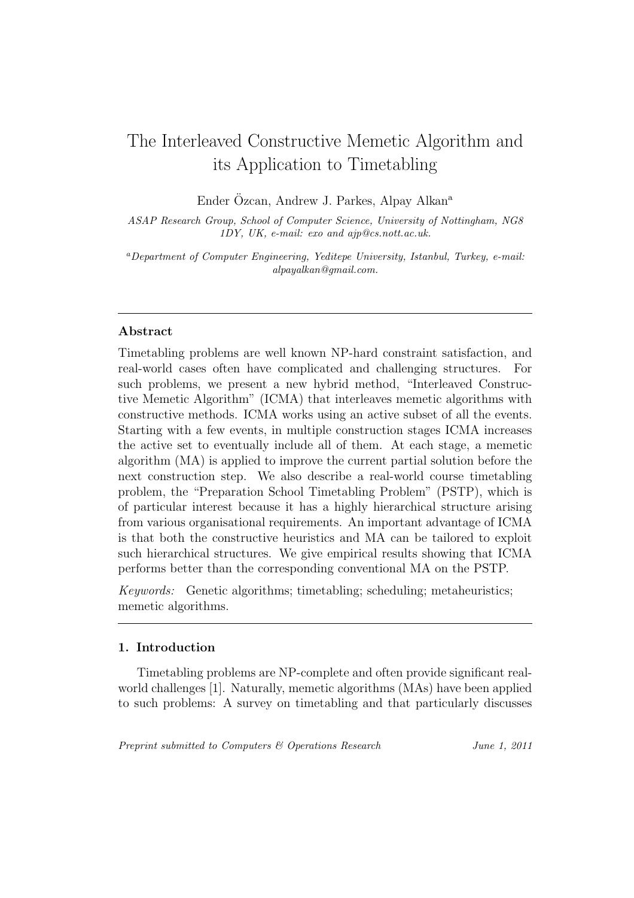# The Interleaved Constructive Memetic Algorithm and its Application to Timetabling

Ender Özcan, Andrew J. Parkes, Alpay Alkan<sup>a</sup>

ASAP Research Group, School of Computer Science, University of Nottingham, NG8 1DY, UK, e-mail: exo and ajp@cs.nott.ac.uk.

<sup>a</sup>Department of Computer Engineering, Yeditepe University, Istanbul, Turkey, e-mail: alpayalkan@gmail.com.

## Abstract

Timetabling problems are well known NP-hard constraint satisfaction, and real-world cases often have complicated and challenging structures. For such problems, we present a new hybrid method, "Interleaved Constructive Memetic Algorithm" (ICMA) that interleaves memetic algorithms with constructive methods. ICMA works using an active subset of all the events. Starting with a few events, in multiple construction stages ICMA increases the active set to eventually include all of them. At each stage, a memetic algorithm (MA) is applied to improve the current partial solution before the next construction step. We also describe a real-world course timetabling problem, the "Preparation School Timetabling Problem" (PSTP), which is of particular interest because it has a highly hierarchical structure arising from various organisational requirements. An important advantage of ICMA is that both the constructive heuristics and MA can be tailored to exploit such hierarchical structures. We give empirical results showing that ICMA performs better than the corresponding conventional MA on the PSTP.

Keywords: Genetic algorithms; timetabling; scheduling; metaheuristics; memetic algorithms.

# 1. Introduction

Timetabling problems are NP-complete and often provide significant realworld challenges [1]. Naturally, memetic algorithms (MAs) have been applied to such problems: A survey on timetabling and that particularly discusses

Preprint submitted to Computers & Operations Research June 1, 2011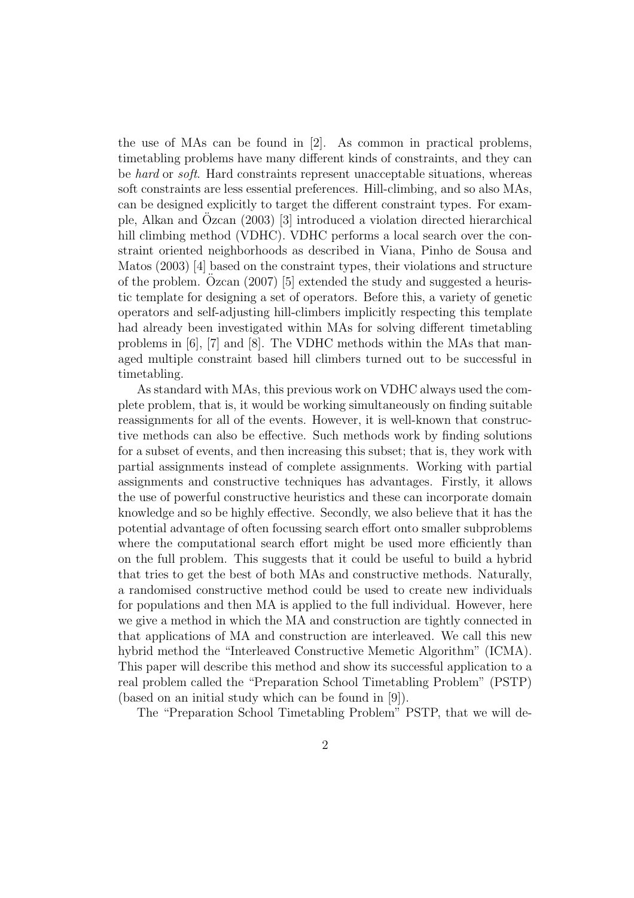the use of MAs can be found in [2]. As common in practical problems, timetabling problems have many different kinds of constraints, and they can be *hard* or *soft*. Hard constraints represent unacceptable situations, whereas soft constraints are less essential preferences. Hill-climbing, and so also MAs, can be designed explicitly to target the different constraint types. For example, Alkan and  $\tilde{O}z$ can (2003) [3] introduced a violation directed hierarchical hill climbing method (VDHC). VDHC performs a local search over the constraint oriented neighborhoods as described in Viana, Pinho de Sousa and Matos (2003) [4] based on the constraint types, their violations and structure of the problem. Ozcan  $(2007)$  [5] extended the study and suggested a heuristic template for designing a set of operators. Before this, a variety of genetic operators and self-adjusting hill-climbers implicitly respecting this template had already been investigated within MAs for solving different timetabling problems in [6], [7] and [8]. The VDHC methods within the MAs that managed multiple constraint based hill climbers turned out to be successful in timetabling.

As standard with MAs, this previous work on VDHC always used the complete problem, that is, it would be working simultaneously on finding suitable reassignments for all of the events. However, it is well-known that constructive methods can also be effective. Such methods work by finding solutions for a subset of events, and then increasing this subset; that is, they work with partial assignments instead of complete assignments. Working with partial assignments and constructive techniques has advantages. Firstly, it allows the use of powerful constructive heuristics and these can incorporate domain knowledge and so be highly effective. Secondly, we also believe that it has the potential advantage of often focussing search effort onto smaller subproblems where the computational search effort might be used more efficiently than on the full problem. This suggests that it could be useful to build a hybrid that tries to get the best of both MAs and constructive methods. Naturally, a randomised constructive method could be used to create new individuals for populations and then MA is applied to the full individual. However, here we give a method in which the MA and construction are tightly connected in that applications of MA and construction are interleaved. We call this new hybrid method the "Interleaved Constructive Memetic Algorithm" (ICMA). This paper will describe this method and show its successful application to a real problem called the "Preparation School Timetabling Problem" (PSTP) (based on an initial study which can be found in [9]).

The "Preparation School Timetabling Problem" PSTP, that we will de-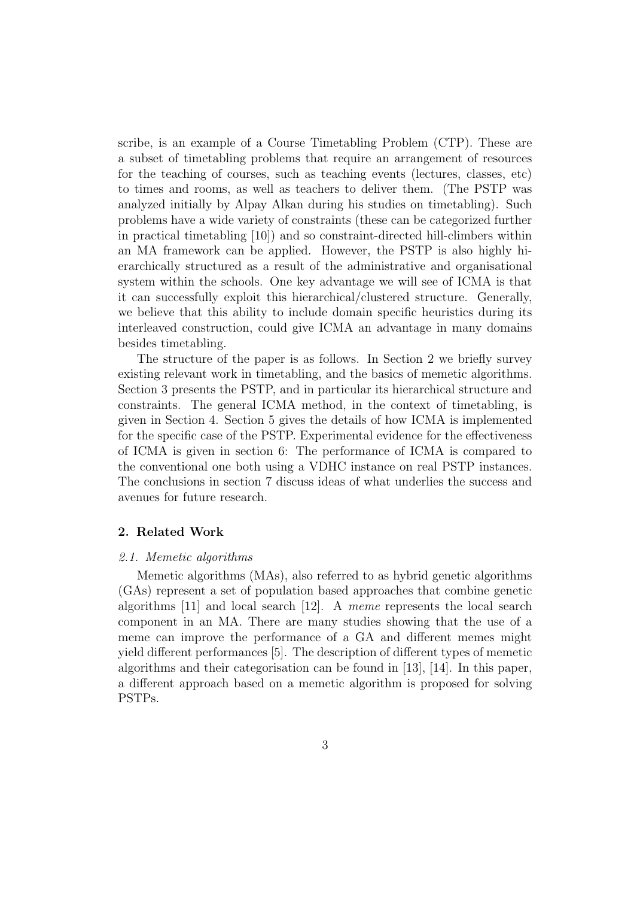scribe, is an example of a Course Timetabling Problem (CTP). These are a subset of timetabling problems that require an arrangement of resources for the teaching of courses, such as teaching events (lectures, classes, etc) to times and rooms, as well as teachers to deliver them. (The PSTP was analyzed initially by Alpay Alkan during his studies on timetabling). Such problems have a wide variety of constraints (these can be categorized further in practical timetabling [10]) and so constraint-directed hill-climbers within an MA framework can be applied. However, the PSTP is also highly hierarchically structured as a result of the administrative and organisational system within the schools. One key advantage we will see of ICMA is that it can successfully exploit this hierarchical/clustered structure. Generally, we believe that this ability to include domain specific heuristics during its interleaved construction, could give ICMA an advantage in many domains besides timetabling.

The structure of the paper is as follows. In Section 2 we briefly survey existing relevant work in timetabling, and the basics of memetic algorithms. Section 3 presents the PSTP, and in particular its hierarchical structure and constraints. The general ICMA method, in the context of timetabling, is given in Section 4. Section 5 gives the details of how ICMA is implemented for the specific case of the PSTP. Experimental evidence for the effectiveness of ICMA is given in section 6: The performance of ICMA is compared to the conventional one both using a VDHC instance on real PSTP instances. The conclusions in section 7 discuss ideas of what underlies the success and avenues for future research.

## 2. Related Work

#### 2.1. Memetic algorithms

Memetic algorithms (MAs), also referred to as hybrid genetic algorithms (GAs) represent a set of population based approaches that combine genetic algorithms [11] and local search [12]. A meme represents the local search component in an MA. There are many studies showing that the use of a meme can improve the performance of a GA and different memes might yield different performances [5]. The description of different types of memetic algorithms and their categorisation can be found in [13], [14]. In this paper, a different approach based on a memetic algorithm is proposed for solving PSTPs.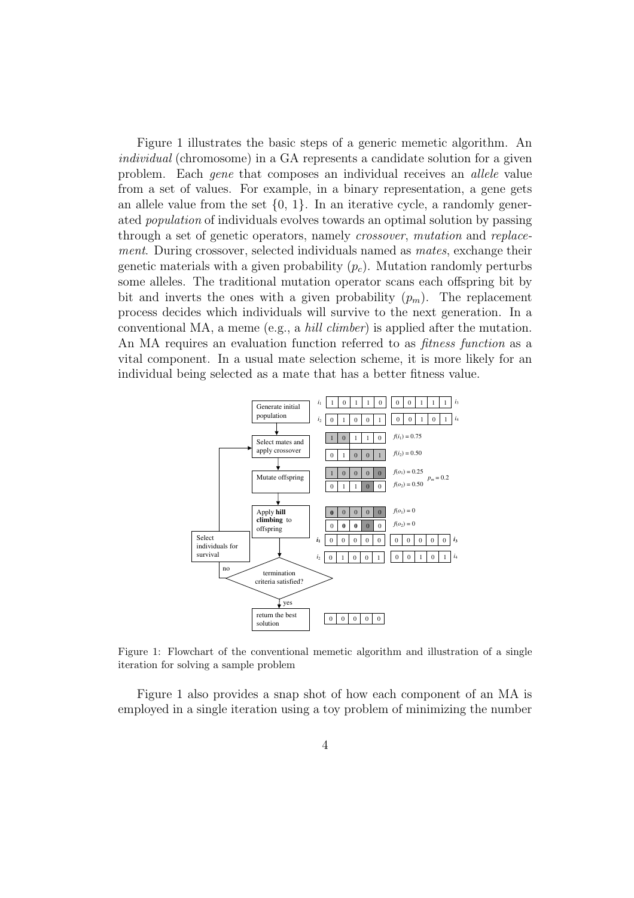Figure 1 illustrates the basic steps of a generic memetic algorithm. An individual (chromosome) in a GA represents a candidate solution for a given problem. Each gene that composes an individual receives an allele value from a set of values. For example, in a binary representation, a gene gets an allele value from the set  $\{0, 1\}$ . In an iterative cycle, a randomly generated population of individuals evolves towards an optimal solution by passing through a set of genetic operators, namely crossover, mutation and replacement. During crossover, selected individuals named as mates, exchange their genetic materials with a given probability  $(p_c)$ . Mutation randomly perturbs some alleles. The traditional mutation operator scans each offspring bit by bit and inverts the ones with a given probability  $(p_m)$ . The replacement process decides which individuals will survive to the next generation. In a conventional MA, a meme (e.g., a hill climber) is applied after the mutation. An MA requires an evaluation function referred to as *fitness function* as a vital component. In a usual mate selection scheme, it is more likely for an individual being selected as a mate that has a better fitness value.



Figure 1: Flowchart of the conventional memetic algorithm and illustration of a single iteration for solving a sample problem

Figure 1 also provides a snap shot of how each component of an MA is employed in a single iteration using a toy problem of minimizing the number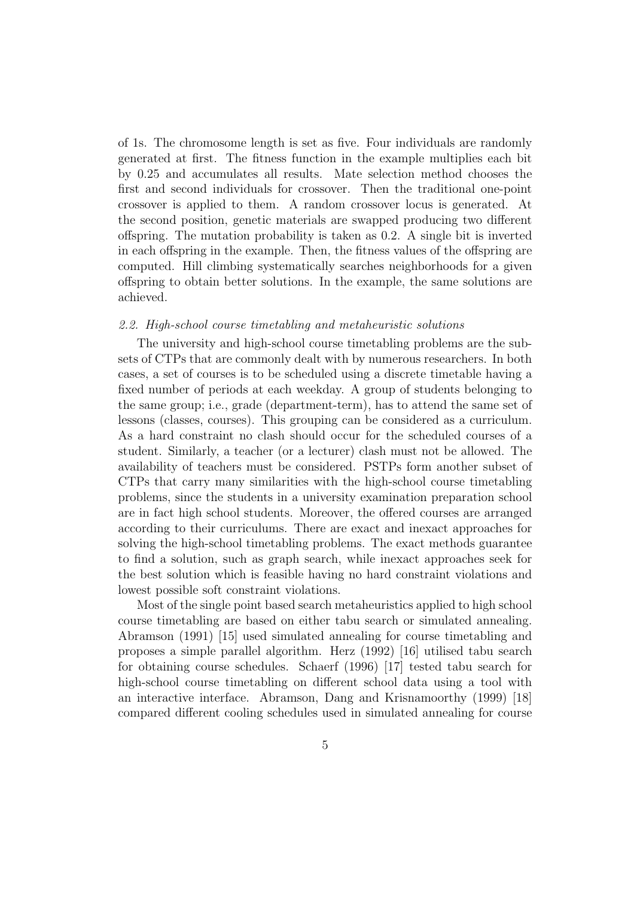of 1s. The chromosome length is set as five. Four individuals are randomly generated at first. The fitness function in the example multiplies each bit by 0.25 and accumulates all results. Mate selection method chooses the first and second individuals for crossover. Then the traditional one-point crossover is applied to them. A random crossover locus is generated. At the second position, genetic materials are swapped producing two different offspring. The mutation probability is taken as 0.2. A single bit is inverted in each offspring in the example. Then, the fitness values of the offspring are computed. Hill climbing systematically searches neighborhoods for a given offspring to obtain better solutions. In the example, the same solutions are achieved.

## 2.2. High-school course timetabling and metaheuristic solutions

The university and high-school course timetabling problems are the subsets of CTPs that are commonly dealt with by numerous researchers. In both cases, a set of courses is to be scheduled using a discrete timetable having a fixed number of periods at each weekday. A group of students belonging to the same group; i.e., grade (department-term), has to attend the same set of lessons (classes, courses). This grouping can be considered as a curriculum. As a hard constraint no clash should occur for the scheduled courses of a student. Similarly, a teacher (or a lecturer) clash must not be allowed. The availability of teachers must be considered. PSTPs form another subset of CTPs that carry many similarities with the high-school course timetabling problems, since the students in a university examination preparation school are in fact high school students. Moreover, the offered courses are arranged according to their curriculums. There are exact and inexact approaches for solving the high-school timetabling problems. The exact methods guarantee to find a solution, such as graph search, while inexact approaches seek for the best solution which is feasible having no hard constraint violations and lowest possible soft constraint violations.

Most of the single point based search metaheuristics applied to high school course timetabling are based on either tabu search or simulated annealing. Abramson (1991) [15] used simulated annealing for course timetabling and proposes a simple parallel algorithm. Herz (1992) [16] utilised tabu search for obtaining course schedules. Schaerf (1996) [17] tested tabu search for high-school course timetabling on different school data using a tool with an interactive interface. Abramson, Dang and Krisnamoorthy (1999) [18] compared different cooling schedules used in simulated annealing for course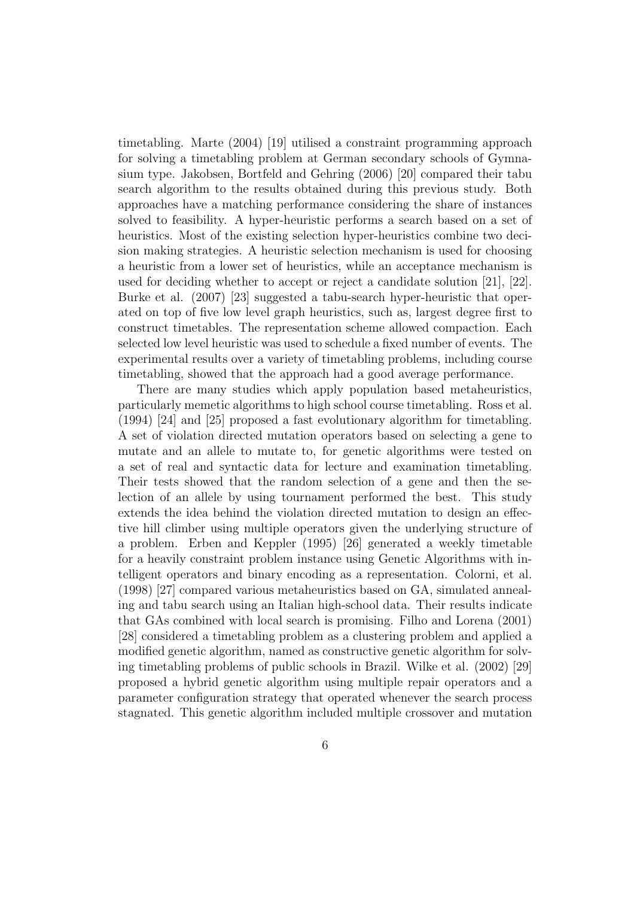timetabling. Marte (2004) [19] utilised a constraint programming approach for solving a timetabling problem at German secondary schools of Gymnasium type. Jakobsen, Bortfeld and Gehring (2006) [20] compared their tabu search algorithm to the results obtained during this previous study. Both approaches have a matching performance considering the share of instances solved to feasibility. A hyper-heuristic performs a search based on a set of heuristics. Most of the existing selection hyper-heuristics combine two decision making strategies. A heuristic selection mechanism is used for choosing a heuristic from a lower set of heuristics, while an acceptance mechanism is used for deciding whether to accept or reject a candidate solution [21], [22]. Burke et al. (2007) [23] suggested a tabu-search hyper-heuristic that operated on top of five low level graph heuristics, such as, largest degree first to construct timetables. The representation scheme allowed compaction. Each selected low level heuristic was used to schedule a fixed number of events. The experimental results over a variety of timetabling problems, including course timetabling, showed that the approach had a good average performance.

There are many studies which apply population based metaheuristics, particularly memetic algorithms to high school course timetabling. Ross et al. (1994) [24] and [25] proposed a fast evolutionary algorithm for timetabling. A set of violation directed mutation operators based on selecting a gene to mutate and an allele to mutate to, for genetic algorithms were tested on a set of real and syntactic data for lecture and examination timetabling. Their tests showed that the random selection of a gene and then the selection of an allele by using tournament performed the best. This study extends the idea behind the violation directed mutation to design an effective hill climber using multiple operators given the underlying structure of a problem. Erben and Keppler (1995) [26] generated a weekly timetable for a heavily constraint problem instance using Genetic Algorithms with intelligent operators and binary encoding as a representation. Colorni, et al. (1998) [27] compared various metaheuristics based on GA, simulated annealing and tabu search using an Italian high-school data. Their results indicate that GAs combined with local search is promising. Filho and Lorena (2001) [28] considered a timetabling problem as a clustering problem and applied a modified genetic algorithm, named as constructive genetic algorithm for solving timetabling problems of public schools in Brazil. Wilke et al. (2002) [29] proposed a hybrid genetic algorithm using multiple repair operators and a parameter configuration strategy that operated whenever the search process stagnated. This genetic algorithm included multiple crossover and mutation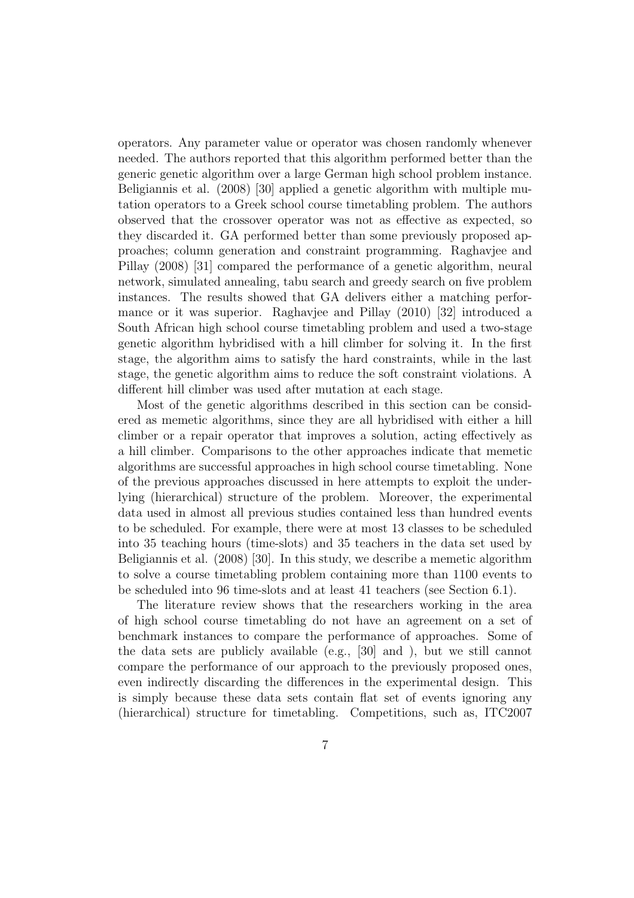operators. Any parameter value or operator was chosen randomly whenever needed. The authors reported that this algorithm performed better than the generic genetic algorithm over a large German high school problem instance. Beligiannis et al. (2008) [30] applied a genetic algorithm with multiple mutation operators to a Greek school course timetabling problem. The authors observed that the crossover operator was not as effective as expected, so they discarded it. GA performed better than some previously proposed approaches; column generation and constraint programming. Raghavjee and Pillay (2008) [31] compared the performance of a genetic algorithm, neural network, simulated annealing, tabu search and greedy search on five problem instances. The results showed that GA delivers either a matching performance or it was superior. Raghavjee and Pillay (2010) [32] introduced a South African high school course timetabling problem and used a two-stage genetic algorithm hybridised with a hill climber for solving it. In the first stage, the algorithm aims to satisfy the hard constraints, while in the last stage, the genetic algorithm aims to reduce the soft constraint violations. A different hill climber was used after mutation at each stage.

Most of the genetic algorithms described in this section can be considered as memetic algorithms, since they are all hybridised with either a hill climber or a repair operator that improves a solution, acting effectively as a hill climber. Comparisons to the other approaches indicate that memetic algorithms are successful approaches in high school course timetabling. None of the previous approaches discussed in here attempts to exploit the underlying (hierarchical) structure of the problem. Moreover, the experimental data used in almost all previous studies contained less than hundred events to be scheduled. For example, there were at most 13 classes to be scheduled into 35 teaching hours (time-slots) and 35 teachers in the data set used by Beligiannis et al. (2008) [30]. In this study, we describe a memetic algorithm to solve a course timetabling problem containing more than 1100 events to be scheduled into 96 time-slots and at least 41 teachers (see Section 6.1).

The literature review shows that the researchers working in the area of high school course timetabling do not have an agreement on a set of benchmark instances to compare the performance of approaches. Some of the data sets are publicly available (e.g., [30] and ), but we still cannot compare the performance of our approach to the previously proposed ones, even indirectly discarding the differences in the experimental design. This is simply because these data sets contain flat set of events ignoring any (hierarchical) structure for timetabling. Competitions, such as, ITC2007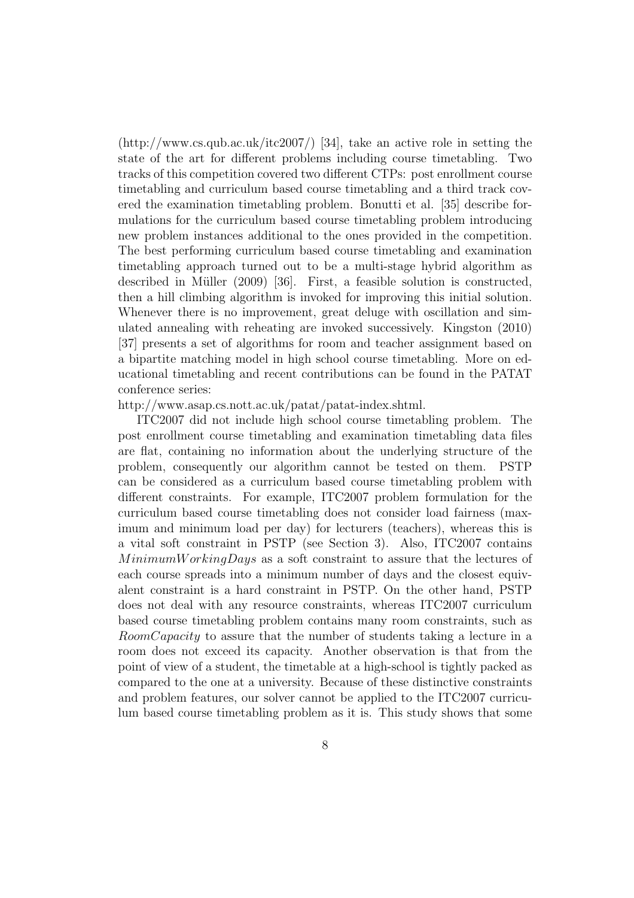(http://www.cs.qub.ac.uk/itc2007/) [34], take an active role in setting the state of the art for different problems including course timetabling. Two tracks of this competition covered two different CTPs: post enrollment course timetabling and curriculum based course timetabling and a third track covered the examination timetabling problem. Bonutti et al. [35] describe formulations for the curriculum based course timetabling problem introducing new problem instances additional to the ones provided in the competition. The best performing curriculum based course timetabling and examination timetabling approach turned out to be a multi-stage hybrid algorithm as described in Müller  $(2009)$  [36]. First, a feasible solution is constructed, then a hill climbing algorithm is invoked for improving this initial solution. Whenever there is no improvement, great deluge with oscillation and simulated annealing with reheating are invoked successively. Kingston (2010) [37] presents a set of algorithms for room and teacher assignment based on a bipartite matching model in high school course timetabling. More on educational timetabling and recent contributions can be found in the PATAT conference series:

## http://www.asap.cs.nott.ac.uk/patat/patat-index.shtml.

ITC2007 did not include high school course timetabling problem. The post enrollment course timetabling and examination timetabling data files are flat, containing no information about the underlying structure of the problem, consequently our algorithm cannot be tested on them. PSTP can be considered as a curriculum based course timetabling problem with different constraints. For example, ITC2007 problem formulation for the curriculum based course timetabling does not consider load fairness (maximum and minimum load per day) for lecturers (teachers), whereas this is a vital soft constraint in PSTP (see Section 3). Also, ITC2007 contains  $Minimum Working$  as a soft constraint to assure that the lectures of each course spreads into a minimum number of days and the closest equivalent constraint is a hard constraint in PSTP. On the other hand, PSTP does not deal with any resource constraints, whereas ITC2007 curriculum based course timetabling problem contains many room constraints, such as RoomCapacity to assure that the number of students taking a lecture in a room does not exceed its capacity. Another observation is that from the point of view of a student, the timetable at a high-school is tightly packed as compared to the one at a university. Because of these distinctive constraints and problem features, our solver cannot be applied to the ITC2007 curriculum based course timetabling problem as it is. This study shows that some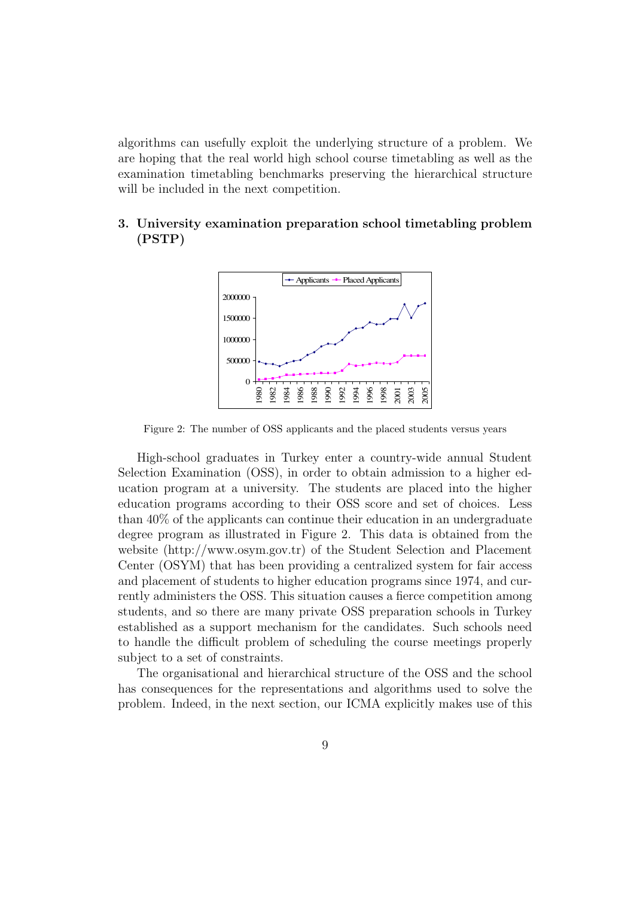algorithms can usefully exploit the underlying structure of a problem. We are hoping that the real world high school course timetabling as well as the examination timetabling benchmarks preserving the hierarchical structure will be included in the next competition.

3. University examination preparation school timetabling problem (PSTP)



Figure 2: The number of OSS applicants and the placed students versus years

High-school graduates in Turkey enter a country-wide annual Student Selection Examination (OSS), in order to obtain admission to a higher education program at a university. The students are placed into the higher education programs according to their OSS score and set of choices. Less than 40% of the applicants can continue their education in an undergraduate degree program as illustrated in Figure 2. This data is obtained from the website (http://www.osym.gov.tr) of the Student Selection and Placement Center (OSYM) that has been providing a centralized system for fair access and placement of students to higher education programs since 1974, and currently administers the OSS. This situation causes a fierce competition among students, and so there are many private OSS preparation schools in Turkey established as a support mechanism for the candidates. Such schools need to handle the difficult problem of scheduling the course meetings properly subject to a set of constraints.

The organisational and hierarchical structure of the OSS and the school has consequences for the representations and algorithms used to solve the problem. Indeed, in the next section, our ICMA explicitly makes use of this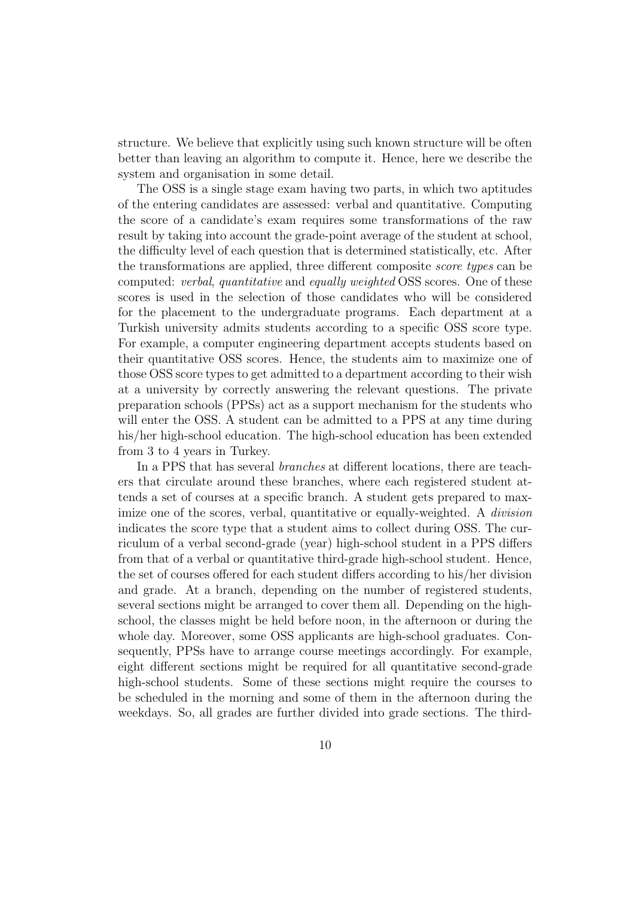structure. We believe that explicitly using such known structure will be often better than leaving an algorithm to compute it. Hence, here we describe the system and organisation in some detail.

The OSS is a single stage exam having two parts, in which two aptitudes of the entering candidates are assessed: verbal and quantitative. Computing the score of a candidate's exam requires some transformations of the raw result by taking into account the grade-point average of the student at school, the difficulty level of each question that is determined statistically, etc. After the transformations are applied, three different composite score types can be computed: verbal, quantitative and equally weighted OSS scores. One of these scores is used in the selection of those candidates who will be considered for the placement to the undergraduate programs. Each department at a Turkish university admits students according to a specific OSS score type. For example, a computer engineering department accepts students based on their quantitative OSS scores. Hence, the students aim to maximize one of those OSS score types to get admitted to a department according to their wish at a university by correctly answering the relevant questions. The private preparation schools (PPSs) act as a support mechanism for the students who will enter the OSS. A student can be admitted to a PPS at any time during his/her high-school education. The high-school education has been extended from 3 to 4 years in Turkey.

In a PPS that has several branches at different locations, there are teachers that circulate around these branches, where each registered student attends a set of courses at a specific branch. A student gets prepared to maximize one of the scores, verbal, quantitative or equally-weighted. A *division* indicates the score type that a student aims to collect during OSS. The curriculum of a verbal second-grade (year) high-school student in a PPS differs from that of a verbal or quantitative third-grade high-school student. Hence, the set of courses offered for each student differs according to his/her division and grade. At a branch, depending on the number of registered students, several sections might be arranged to cover them all. Depending on the highschool, the classes might be held before noon, in the afternoon or during the whole day. Moreover, some OSS applicants are high-school graduates. Consequently, PPSs have to arrange course meetings accordingly. For example, eight different sections might be required for all quantitative second-grade high-school students. Some of these sections might require the courses to be scheduled in the morning and some of them in the afternoon during the weekdays. So, all grades are further divided into grade sections. The third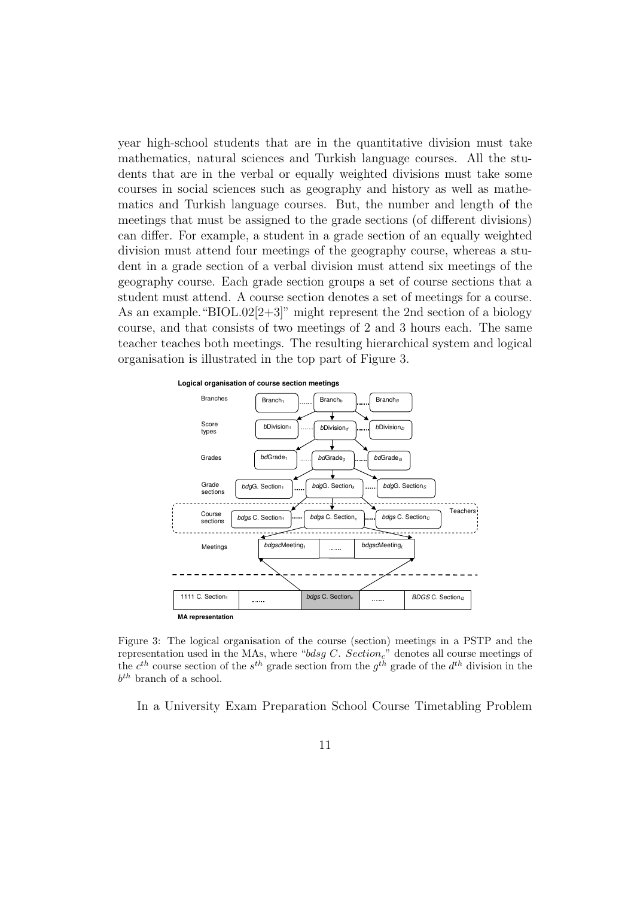year high-school students that are in the quantitative division must take mathematics, natural sciences and Turkish language courses. All the students that are in the verbal or equally weighted divisions must take some courses in social sciences such as geography and history as well as mathematics and Turkish language courses. But, the number and length of the meetings that must be assigned to the grade sections (of different divisions) can differ. For example, a student in a grade section of an equally weighted division must attend four meetings of the geography course, whereas a student in a grade section of a verbal division must attend six meetings of the geography course. Each grade section groups a set of course sections that a student must attend. A course section denotes a set of meetings for a course. As an example."BIOL.02[2+3]" might represent the 2nd section of a biology course, and that consists of two meetings of 2 and 3 hours each. The same teacher teaches both meetings. The resulting hierarchical system and logical organisation is illustrated in the top part of Figure 3.



Figure 3: The logical organisation of the course (section) meetings in a PSTP and the representation used in the MAs, where " $bdsg C$ .  $Section<sub>c</sub>$ " denotes all course meetings of the  $c^{th}$  course section of the  $s^{th}$  grade section from the  $g^{th}$  grade of the  $d^{th}$  division in the  $b^{th}$  branch of a school.

In a University Exam Preparation School Course Timetabling Problem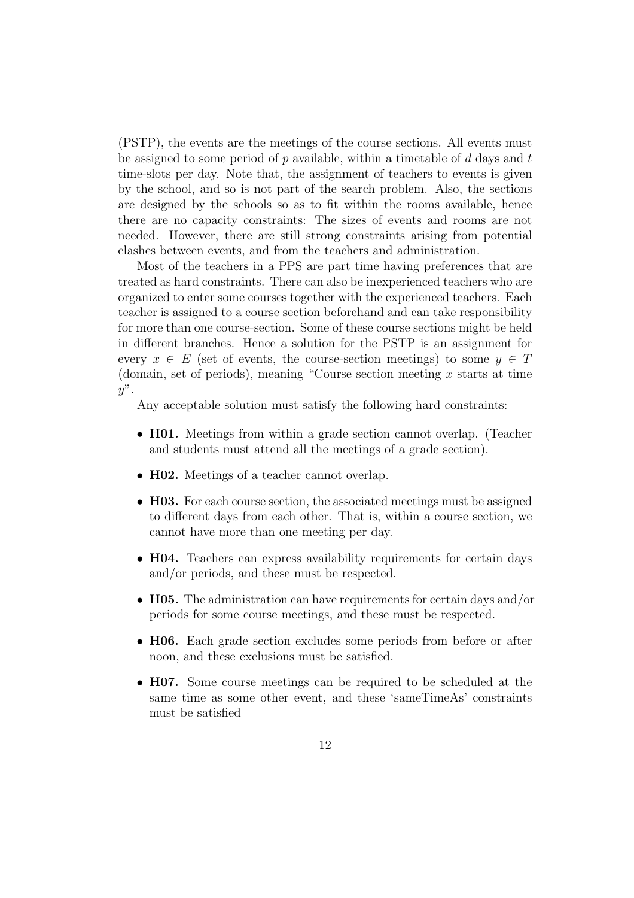(PSTP), the events are the meetings of the course sections. All events must be assigned to some period of p available, within a timetable of d days and t time-slots per day. Note that, the assignment of teachers to events is given by the school, and so is not part of the search problem. Also, the sections are designed by the schools so as to fit within the rooms available, hence there are no capacity constraints: The sizes of events and rooms are not needed. However, there are still strong constraints arising from potential clashes between events, and from the teachers and administration.

Most of the teachers in a PPS are part time having preferences that are treated as hard constraints. There can also be inexperienced teachers who are organized to enter some courses together with the experienced teachers. Each teacher is assigned to a course section beforehand and can take responsibility for more than one course-section. Some of these course sections might be held in different branches. Hence a solution for the PSTP is an assignment for every  $x \in E$  (set of events, the course-section meetings) to some  $y \in T$ (domain, set of periods), meaning "Course section meeting  $x$  starts at time  $y"$ .

Any acceptable solution must satisfy the following hard constraints:

- **H01.** Meetings from within a grade section cannot overlap. (Teacher and students must attend all the meetings of a grade section).
- **H02.** Meetings of a teacher cannot overlap.
- H03. For each course section, the associated meetings must be assigned to different days from each other. That is, within a course section, we cannot have more than one meeting per day.
- H04. Teachers can express availability requirements for certain days and/or periods, and these must be respected.
- H05. The administration can have requirements for certain days and/or periods for some course meetings, and these must be respected.
- H06. Each grade section excludes some periods from before or after noon, and these exclusions must be satisfied.
- H07. Some course meetings can be required to be scheduled at the same time as some other event, and these 'sameTimeAs' constraints must be satisfied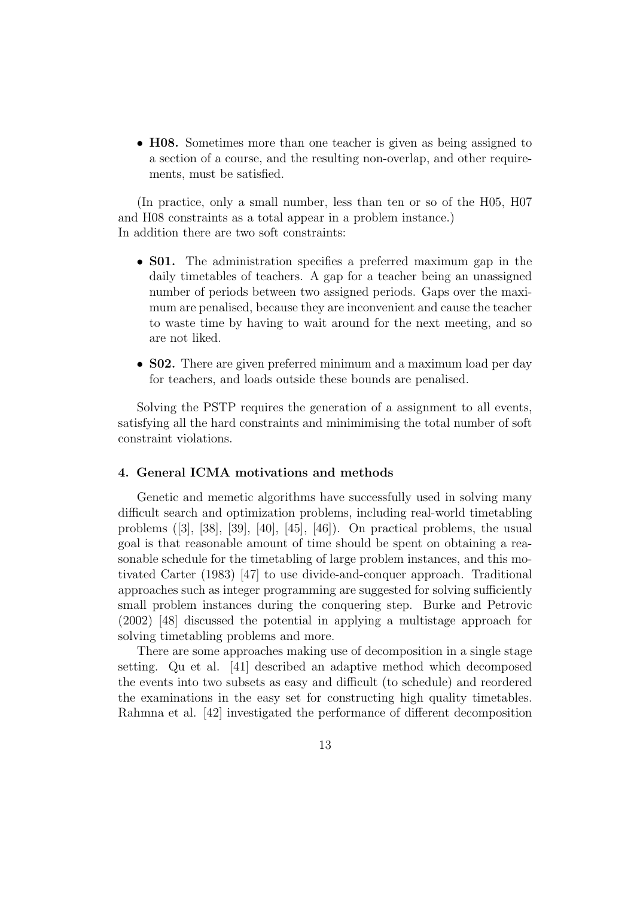• H08. Sometimes more than one teacher is given as being assigned to a section of a course, and the resulting non-overlap, and other requirements, must be satisfied.

(In practice, only a small number, less than ten or so of the H05, H07 and H08 constraints as a total appear in a problem instance.) In addition there are two soft constraints:

- S01. The administration specifies a preferred maximum gap in the daily timetables of teachers. A gap for a teacher being an unassigned number of periods between two assigned periods. Gaps over the maximum are penalised, because they are inconvenient and cause the teacher to waste time by having to wait around for the next meeting, and so are not liked.
- S02. There are given preferred minimum and a maximum load per day for teachers, and loads outside these bounds are penalised.

Solving the PSTP requires the generation of a assignment to all events, satisfying all the hard constraints and minimimising the total number of soft constraint violations.

# 4. General ICMA motivations and methods

Genetic and memetic algorithms have successfully used in solving many difficult search and optimization problems, including real-world timetabling problems ([3], [38], [39], [40], [45], [46]). On practical problems, the usual goal is that reasonable amount of time should be spent on obtaining a reasonable schedule for the timetabling of large problem instances, and this motivated Carter (1983) [47] to use divide-and-conquer approach. Traditional approaches such as integer programming are suggested for solving sufficiently small problem instances during the conquering step. Burke and Petrovic (2002) [48] discussed the potential in applying a multistage approach for solving timetabling problems and more.

There are some approaches making use of decomposition in a single stage setting. Qu et al. [41] described an adaptive method which decomposed the events into two subsets as easy and difficult (to schedule) and reordered the examinations in the easy set for constructing high quality timetables. Rahmna et al. [42] investigated the performance of different decomposition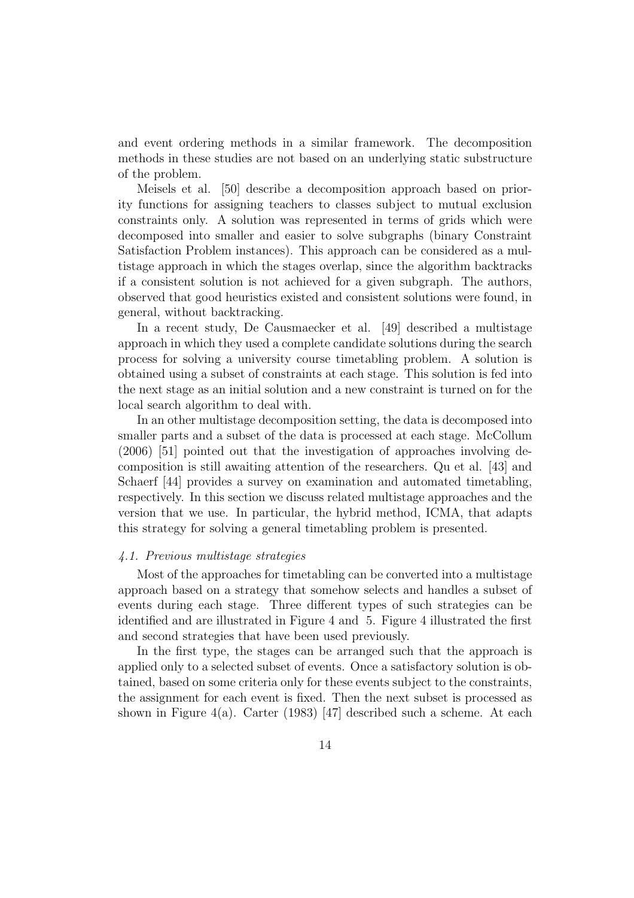and event ordering methods in a similar framework. The decomposition methods in these studies are not based on an underlying static substructure of the problem.

Meisels et al. [50] describe a decomposition approach based on priority functions for assigning teachers to classes subject to mutual exclusion constraints only. A solution was represented in terms of grids which were decomposed into smaller and easier to solve subgraphs (binary Constraint Satisfaction Problem instances). This approach can be considered as a multistage approach in which the stages overlap, since the algorithm backtracks if a consistent solution is not achieved for a given subgraph. The authors, observed that good heuristics existed and consistent solutions were found, in general, without backtracking.

In a recent study, De Causmaecker et al. [49] described a multistage approach in which they used a complete candidate solutions during the search process for solving a university course timetabling problem. A solution is obtained using a subset of constraints at each stage. This solution is fed into the next stage as an initial solution and a new constraint is turned on for the local search algorithm to deal with.

In an other multistage decomposition setting, the data is decomposed into smaller parts and a subset of the data is processed at each stage. McCollum (2006) [51] pointed out that the investigation of approaches involving decomposition is still awaiting attention of the researchers. Qu et al. [43] and Schaerf [44] provides a survey on examination and automated timetabling, respectively. In this section we discuss related multistage approaches and the version that we use. In particular, the hybrid method, ICMA, that adapts this strategy for solving a general timetabling problem is presented.

## 4.1. Previous multistage strategies

Most of the approaches for timetabling can be converted into a multistage approach based on a strategy that somehow selects and handles a subset of events during each stage. Three different types of such strategies can be identified and are illustrated in Figure 4 and 5. Figure 4 illustrated the first and second strategies that have been used previously.

In the first type, the stages can be arranged such that the approach is applied only to a selected subset of events. Once a satisfactory solution is obtained, based on some criteria only for these events subject to the constraints, the assignment for each event is fixed. Then the next subset is processed as shown in Figure 4(a). Carter (1983) [47] described such a scheme. At each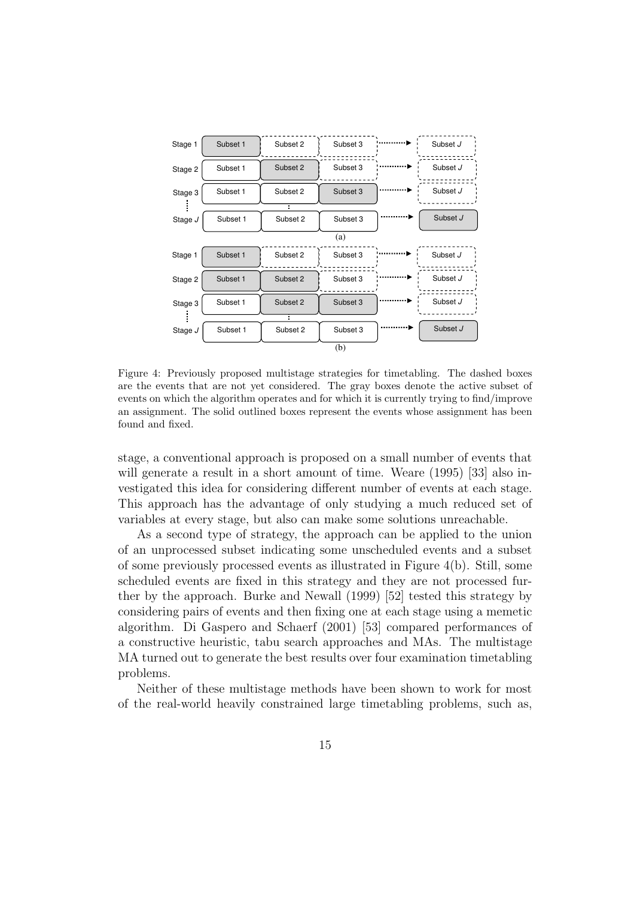

Figure 4: Previously proposed multistage strategies for timetabling. The dashed boxes are the events that are not yet considered. The gray boxes denote the active subset of events on which the algorithm operates and for which it is currently trying to find/improve an assignment. The solid outlined boxes represent the events whose assignment has been found and fixed.

stage, a conventional approach is proposed on a small number of events that will generate a result in a short amount of time. Weare (1995) [33] also investigated this idea for considering different number of events at each stage. This approach has the advantage of only studying a much reduced set of variables at every stage, but also can make some solutions unreachable.

As a second type of strategy, the approach can be applied to the union of an unprocessed subset indicating some unscheduled events and a subset of some previously processed events as illustrated in Figure 4(b). Still, some scheduled events are fixed in this strategy and they are not processed further by the approach. Burke and Newall (1999) [52] tested this strategy by considering pairs of events and then fixing one at each stage using a memetic algorithm. Di Gaspero and Schaerf (2001) [53] compared performances of a constructive heuristic, tabu search approaches and MAs. The multistage MA turned out to generate the best results over four examination timetabling problems.

Neither of these multistage methods have been shown to work for most of the real-world heavily constrained large timetabling problems, such as,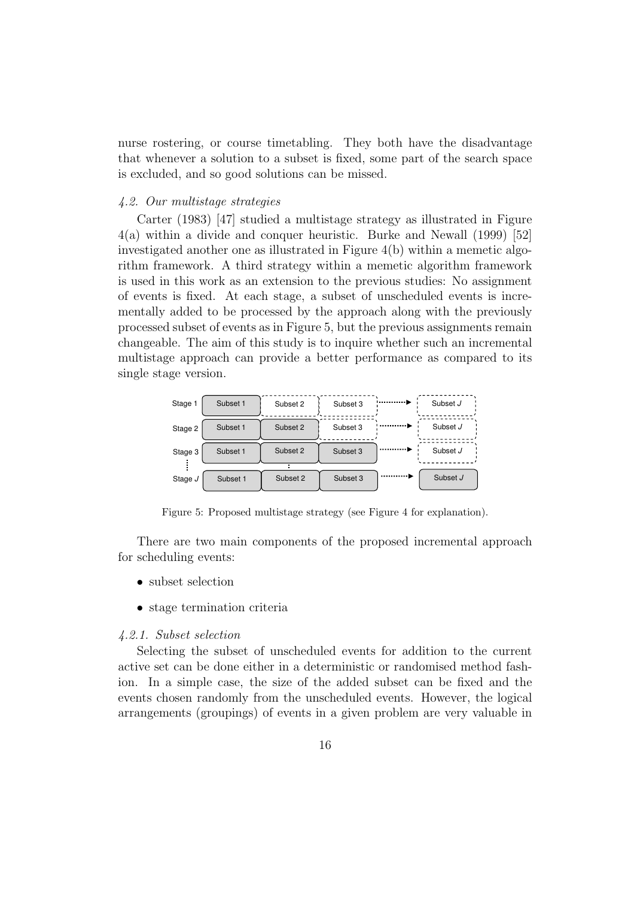nurse rostering, or course timetabling. They both have the disadvantage that whenever a solution to a subset is fixed, some part of the search space is excluded, and so good solutions can be missed.

## 4.2. Our multistage strategies

Carter (1983) [47] studied a multistage strategy as illustrated in Figure 4(a) within a divide and conquer heuristic. Burke and Newall (1999) [52] investigated another one as illustrated in Figure 4(b) within a memetic algorithm framework. A third strategy within a memetic algorithm framework is used in this work as an extension to the previous studies: No assignment of events is fixed. At each stage, a subset of unscheduled events is incrementally added to be processed by the approach along with the previously processed subset of events as in Figure 5, but the previous assignments remain changeable. The aim of this study is to inquire whether such an incremental multistage approach can provide a better performance as compared to its single stage version.



Figure 5: Proposed multistage strategy (see Figure 4 for explanation).

There are two main components of the proposed incremental approach for scheduling events:

- subset selection
- stage termination criteria

## 4.2.1. Subset selection

Selecting the subset of unscheduled events for addition to the current active set can be done either in a deterministic or randomised method fashion. In a simple case, the size of the added subset can be fixed and the events chosen randomly from the unscheduled events. However, the logical arrangements (groupings) of events in a given problem are very valuable in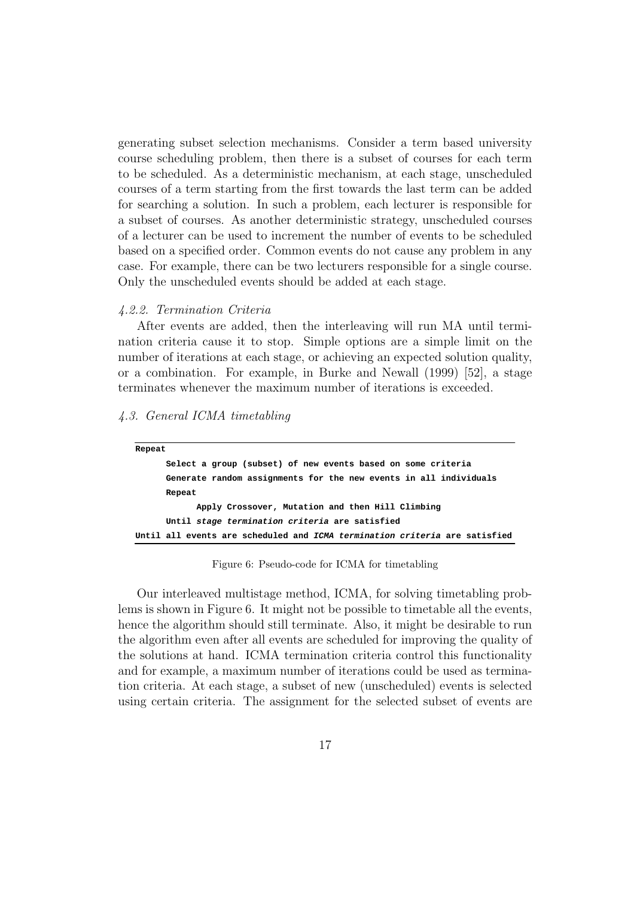generating subset selection mechanisms. Consider a term based university course scheduling problem, then there is a subset of courses for each term to be scheduled. As a deterministic mechanism, at each stage, unscheduled courses of a term starting from the first towards the last term can be added for searching a solution. In such a problem, each lecturer is responsible for a subset of courses. As another deterministic strategy, unscheduled courses of a lecturer can be used to increment the number of events to be scheduled based on a specified order. Common events do not cause any problem in any case. For example, there can be two lecturers responsible for a single course. Only the unscheduled events should be added at each stage.

#### 4.2.2. Termination Criteria

After events are added, then the interleaving will run MA until termination criteria cause it to stop. Simple options are a simple limit on the number of iterations at each stage, or achieving an expected solution quality, or a combination. For example, in Burke and Newall (1999) [52], a stage terminates whenever the maximum number of iterations is exceeded.

## 4.3. General ICMA timetabling

| Repeat                                                                     |
|----------------------------------------------------------------------------|
| Select a group (subset) of new events based on some criteria               |
| Generate random assignments for the new events in all individuals          |
| Repeat                                                                     |
| Apply Crossover, Mutation and then Hill Climbing                           |
| Until stage termination criteria are satisfied                             |
| Until all events are scheduled and ICMA termination criteria are satisfied |

Figure 6: Pseudo-code for ICMA for timetabling

Our interleaved multistage method, ICMA, for solving timetabling problems is shown in Figure 6. It might not be possible to timetable all the events, hence the algorithm should still terminate. Also, it might be desirable to run the algorithm even after all events are scheduled for improving the quality of the solutions at hand. ICMA termination criteria control this functionality and for example, a maximum number of iterations could be used as termination criteria. At each stage, a subset of new (unscheduled) events is selected using certain criteria. The assignment for the selected subset of events are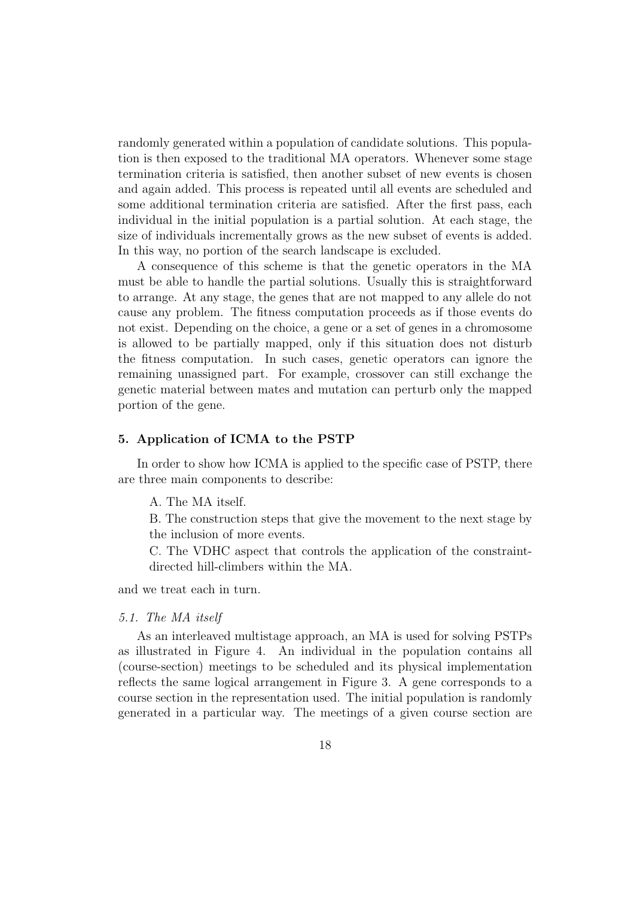randomly generated within a population of candidate solutions. This population is then exposed to the traditional MA operators. Whenever some stage termination criteria is satisfied, then another subset of new events is chosen and again added. This process is repeated until all events are scheduled and some additional termination criteria are satisfied. After the first pass, each individual in the initial population is a partial solution. At each stage, the size of individuals incrementally grows as the new subset of events is added. In this way, no portion of the search landscape is excluded.

A consequence of this scheme is that the genetic operators in the MA must be able to handle the partial solutions. Usually this is straightforward to arrange. At any stage, the genes that are not mapped to any allele do not cause any problem. The fitness computation proceeds as if those events do not exist. Depending on the choice, a gene or a set of genes in a chromosome is allowed to be partially mapped, only if this situation does not disturb the fitness computation. In such cases, genetic operators can ignore the remaining unassigned part. For example, crossover can still exchange the genetic material between mates and mutation can perturb only the mapped portion of the gene.

## 5. Application of ICMA to the PSTP

In order to show how ICMA is applied to the specific case of PSTP, there are three main components to describe:

A. The MA itself.

B. The construction steps that give the movement to the next stage by the inclusion of more events.

C. The VDHC aspect that controls the application of the constraintdirected hill-climbers within the MA.

and we treat each in turn.

## 5.1. The MA itself

As an interleaved multistage approach, an MA is used for solving PSTPs as illustrated in Figure 4. An individual in the population contains all (course-section) meetings to be scheduled and its physical implementation reflects the same logical arrangement in Figure 3. A gene corresponds to a course section in the representation used. The initial population is randomly generated in a particular way. The meetings of a given course section are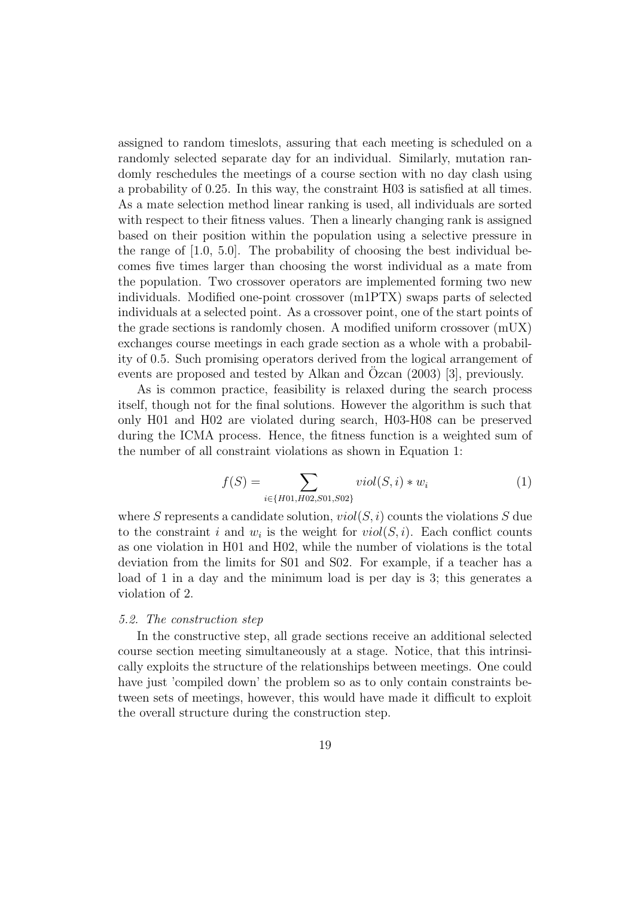assigned to random timeslots, assuring that each meeting is scheduled on a randomly selected separate day for an individual. Similarly, mutation randomly reschedules the meetings of a course section with no day clash using a probability of 0.25. In this way, the constraint H03 is satisfied at all times. As a mate selection method linear ranking is used, all individuals are sorted with respect to their fitness values. Then a linearly changing rank is assigned based on their position within the population using a selective pressure in the range of [1.0, 5.0]. The probability of choosing the best individual becomes five times larger than choosing the worst individual as a mate from the population. Two crossover operators are implemented forming two new individuals. Modified one-point crossover (m1PTX) swaps parts of selected individuals at a selected point. As a crossover point, one of the start points of the grade sections is randomly chosen. A modified uniform crossover (mUX) exchanges course meetings in each grade section as a whole with a probability of 0.5. Such promising operators derived from the logical arrangement of events are proposed and tested by Alkan and Ozcan  $(2003)$  [3], previously.

As is common practice, feasibility is relaxed during the search process itself, though not for the final solutions. However the algorithm is such that only H01 and H02 are violated during search, H03-H08 can be preserved during the ICMA process. Hence, the fitness function is a weighted sum of the number of all constraint violations as shown in Equation 1:

$$
f(S) = \sum_{i \in \{H01, H02, S01, S02\}} viol(S, i) * w_i
$$
 (1)

where S represents a candidate solution,  $viol(S, i)$  counts the violations S due to the constraint i and  $w_i$  is the weight for  $viol(S, i)$ . Each conflict counts as one violation in H01 and H02, while the number of violations is the total deviation from the limits for S01 and S02. For example, if a teacher has a load of 1 in a day and the minimum load is per day is 3; this generates a violation of 2.

#### 5.2. The construction step

In the constructive step, all grade sections receive an additional selected course section meeting simultaneously at a stage. Notice, that this intrinsically exploits the structure of the relationships between meetings. One could have just 'compiled down' the problem so as to only contain constraints between sets of meetings, however, this would have made it difficult to exploit the overall structure during the construction step.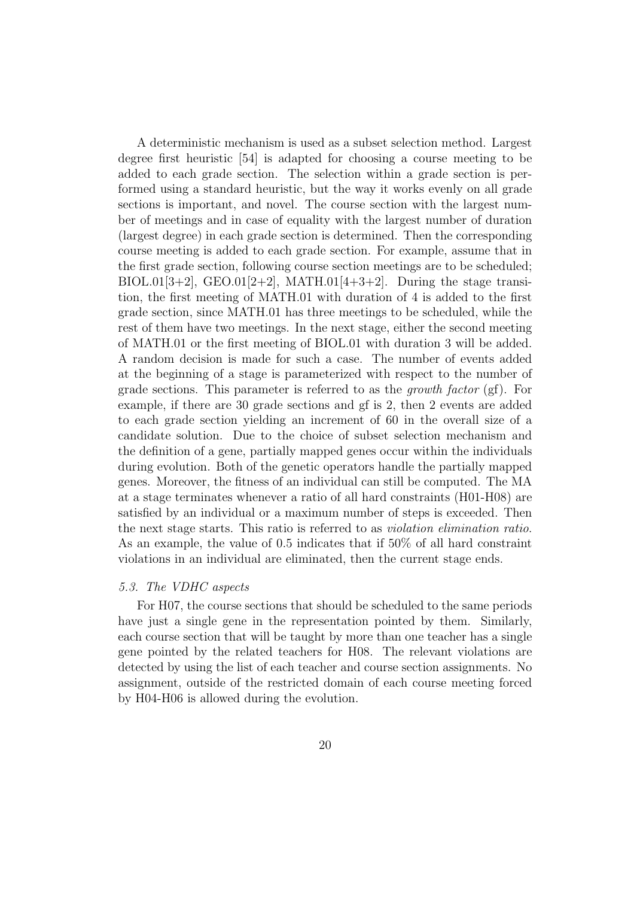A deterministic mechanism is used as a subset selection method. Largest degree first heuristic [54] is adapted for choosing a course meeting to be added to each grade section. The selection within a grade section is performed using a standard heuristic, but the way it works evenly on all grade sections is important, and novel. The course section with the largest number of meetings and in case of equality with the largest number of duration (largest degree) in each grade section is determined. Then the corresponding course meeting is added to each grade section. For example, assume that in the first grade section, following course section meetings are to be scheduled; BIOL.01[3+2], GEO.01[2+2], MATH.01[4+3+2]. During the stage transition, the first meeting of MATH.01 with duration of 4 is added to the first grade section, since MATH.01 has three meetings to be scheduled, while the rest of them have two meetings. In the next stage, either the second meeting of MATH.01 or the first meeting of BIOL.01 with duration 3 will be added. A random decision is made for such a case. The number of events added at the beginning of a stage is parameterized with respect to the number of grade sections. This parameter is referred to as the growth factor (gf). For example, if there are 30 grade sections and gf is 2, then 2 events are added to each grade section yielding an increment of 60 in the overall size of a candidate solution. Due to the choice of subset selection mechanism and the definition of a gene, partially mapped genes occur within the individuals during evolution. Both of the genetic operators handle the partially mapped genes. Moreover, the fitness of an individual can still be computed. The MA at a stage terminates whenever a ratio of all hard constraints (H01-H08) are satisfied by an individual or a maximum number of steps is exceeded. Then the next stage starts. This ratio is referred to as violation elimination ratio. As an example, the value of 0.5 indicates that if 50% of all hard constraint violations in an individual are eliminated, then the current stage ends.

## 5.3. The VDHC aspects

For H07, the course sections that should be scheduled to the same periods have just a single gene in the representation pointed by them. Similarly, each course section that will be taught by more than one teacher has a single gene pointed by the related teachers for H08. The relevant violations are detected by using the list of each teacher and course section assignments. No assignment, outside of the restricted domain of each course meeting forced by H04-H06 is allowed during the evolution.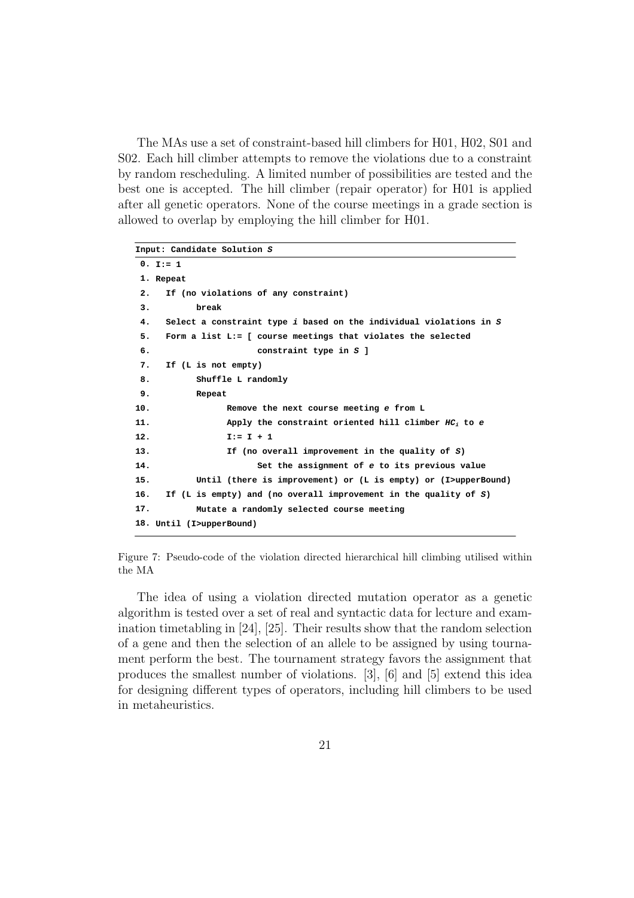The MAs use a set of constraint-based hill climbers for H01, H02, S01 and S02. Each hill climber attempts to remove the violations due to a constraint by random rescheduling. A limited number of possibilities are tested and the best one is accepted. The hill climber (repair operator) for H01 is applied after all genetic operators. None of the course meetings in a grade section is allowed to overlap by employing the hill climber for H01.

#### **Input: Candidate Solution S**

```
 I:= 1 
0.
 Repeat 
1.
      If (no violations of any constraint) 
            break 
      Select a constraint type i based on the individual violations in S 
      Form a list L:= [ course meetings that violates the selected 
                          constraint type in S ] 
       If (L is not empty) 
             Shuffle L randomly 
             Repeat 
                    Remove the next course meeting e from L 
                   Apply the constraint oriented hill climber HCi to e
                   I:= I + 1 
                   If (no overall improvement in the quality of S) 
                          Set the assignment of e to its previous value 
            Until (there is improvement) or (L is empty) or (I>upperBound) 
      If (L is empty) and (no overall improvement in the quality of S) 
             Mutate a randomly selected course meeting 
 Until (I>upperBound) 
18.
                                          f
  2.
  3.
  4.
  5.
  6.
  7.
  8.
  9.
10.
11.
12.
13.
14.
15.
16.
17.
```
Figure 7: Pseudo-code of the violation directed hierarchical hill climbing utilised within the MA

The idea of using a violation directed mutation operator as a genetic algorithm is tested over a set of real and syntactic data for lecture and examination timetabling in [24], [25]. Their results show that the random selection of a gene and then the selection of an allele to be assigned by using tournament perform the best. The tournament strategy favors the assignment that produces the smallest number of violations. [3], [6] and [5] extend this idea for designing different types of operators, including hill climbers to be used in metaheuristics.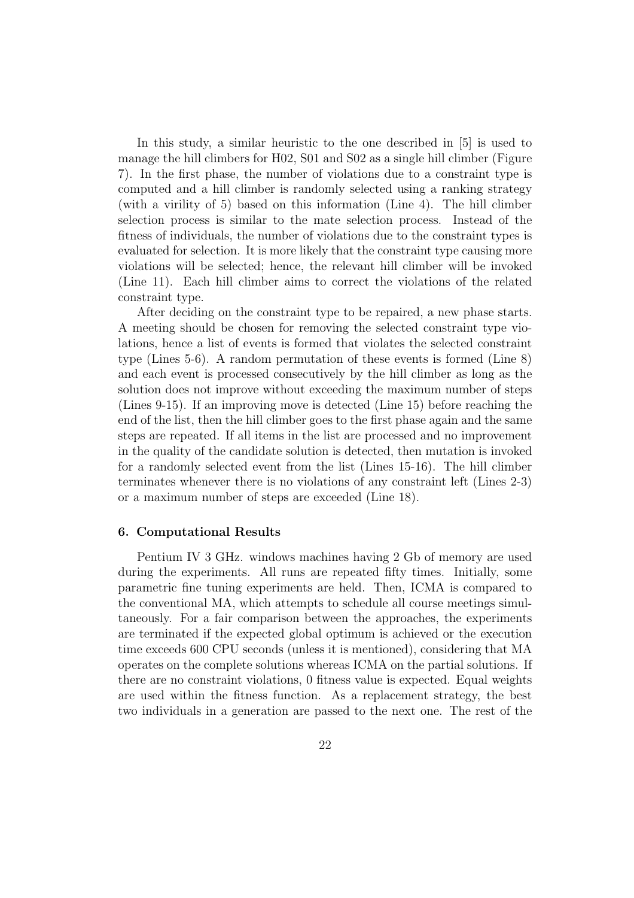In this study, a similar heuristic to the one described in [5] is used to manage the hill climbers for H02, S01 and S02 as a single hill climber (Figure 7). In the first phase, the number of violations due to a constraint type is computed and a hill climber is randomly selected using a ranking strategy (with a virility of 5) based on this information (Line 4). The hill climber selection process is similar to the mate selection process. Instead of the fitness of individuals, the number of violations due to the constraint types is evaluated for selection. It is more likely that the constraint type causing more violations will be selected; hence, the relevant hill climber will be invoked (Line 11). Each hill climber aims to correct the violations of the related constraint type.

After deciding on the constraint type to be repaired, a new phase starts. A meeting should be chosen for removing the selected constraint type violations, hence a list of events is formed that violates the selected constraint type (Lines 5-6). A random permutation of these events is formed (Line 8) and each event is processed consecutively by the hill climber as long as the solution does not improve without exceeding the maximum number of steps (Lines 9-15). If an improving move is detected (Line 15) before reaching the end of the list, then the hill climber goes to the first phase again and the same steps are repeated. If all items in the list are processed and no improvement in the quality of the candidate solution is detected, then mutation is invoked for a randomly selected event from the list (Lines 15-16). The hill climber terminates whenever there is no violations of any constraint left (Lines 2-3) or a maximum number of steps are exceeded (Line 18).

#### 6. Computational Results

Pentium IV 3 GHz. windows machines having 2 Gb of memory are used during the experiments. All runs are repeated fifty times. Initially, some parametric fine tuning experiments are held. Then, ICMA is compared to the conventional MA, which attempts to schedule all course meetings simultaneously. For a fair comparison between the approaches, the experiments are terminated if the expected global optimum is achieved or the execution time exceeds 600 CPU seconds (unless it is mentioned), considering that MA operates on the complete solutions whereas ICMA on the partial solutions. If there are no constraint violations, 0 fitness value is expected. Equal weights are used within the fitness function. As a replacement strategy, the best two individuals in a generation are passed to the next one. The rest of the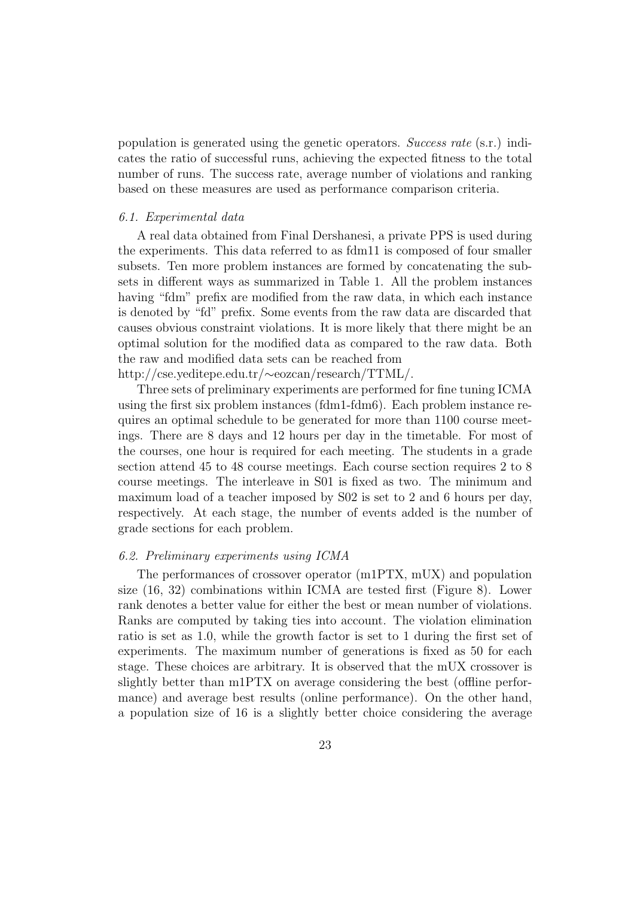population is generated using the genetic operators. Success rate (s.r.) indicates the ratio of successful runs, achieving the expected fitness to the total number of runs. The success rate, average number of violations and ranking based on these measures are used as performance comparison criteria.

## 6.1. Experimental data

A real data obtained from Final Dershanesi, a private PPS is used during the experiments. This data referred to as fdm11 is composed of four smaller subsets. Ten more problem instances are formed by concatenating the subsets in different ways as summarized in Table 1. All the problem instances having "fdm" prefix are modified from the raw data, in which each instance is denoted by "fd" prefix. Some events from the raw data are discarded that causes obvious constraint violations. It is more likely that there might be an optimal solution for the modified data as compared to the raw data. Both the raw and modified data sets can be reached from

http://cse.yeditepe.edu.tr/∼eozcan/research/TTML/.

Three sets of preliminary experiments are performed for fine tuning ICMA using the first six problem instances (fdm1-fdm6). Each problem instance requires an optimal schedule to be generated for more than 1100 course meetings. There are 8 days and 12 hours per day in the timetable. For most of the courses, one hour is required for each meeting. The students in a grade section attend 45 to 48 course meetings. Each course section requires 2 to 8 course meetings. The interleave in S01 is fixed as two. The minimum and maximum load of a teacher imposed by S02 is set to 2 and 6 hours per day, respectively. At each stage, the number of events added is the number of grade sections for each problem.

## 6.2. Preliminary experiments using ICMA

The performances of crossover operator (m1PTX, mUX) and population size (16, 32) combinations within ICMA are tested first (Figure 8). Lower rank denotes a better value for either the best or mean number of violations. Ranks are computed by taking ties into account. The violation elimination ratio is set as 1.0, while the growth factor is set to 1 during the first set of experiments. The maximum number of generations is fixed as 50 for each stage. These choices are arbitrary. It is observed that the mUX crossover is slightly better than m1PTX on average considering the best (offline performance) and average best results (online performance). On the other hand, a population size of 16 is a slightly better choice considering the average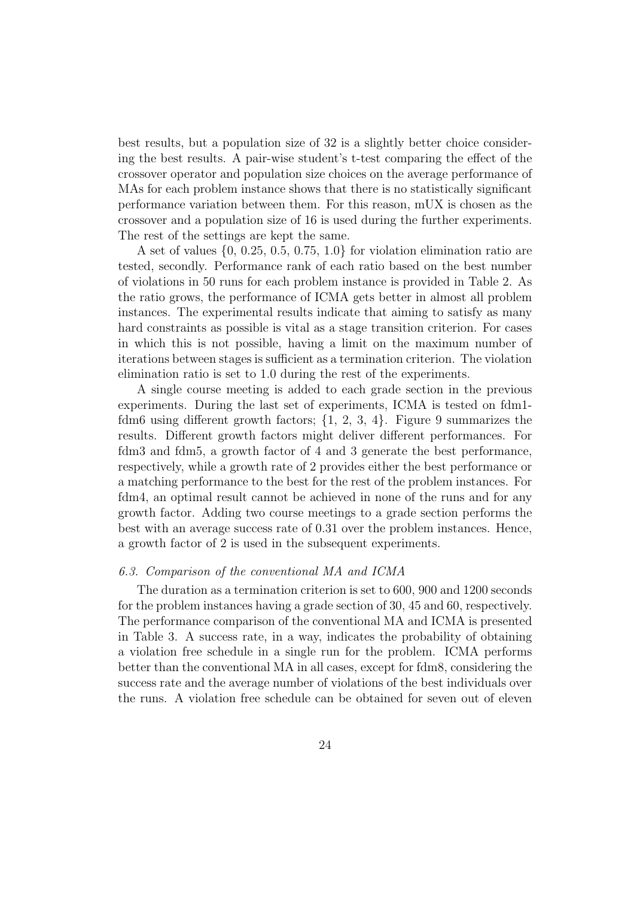best results, but a population size of 32 is a slightly better choice considering the best results. A pair-wise student's t-test comparing the effect of the crossover operator and population size choices on the average performance of MAs for each problem instance shows that there is no statistically significant performance variation between them. For this reason, mUX is chosen as the crossover and a population size of 16 is used during the further experiments. The rest of the settings are kept the same.

A set of values  $\{0, 0.25, 0.5, 0.75, 1.0\}$  for violation elimination ratio are tested, secondly. Performance rank of each ratio based on the best number of violations in 50 runs for each problem instance is provided in Table 2. As the ratio grows, the performance of ICMA gets better in almost all problem instances. The experimental results indicate that aiming to satisfy as many hard constraints as possible is vital as a stage transition criterion. For cases in which this is not possible, having a limit on the maximum number of iterations between stages is sufficient as a termination criterion. The violation elimination ratio is set to 1.0 during the rest of the experiments.

A single course meeting is added to each grade section in the previous experiments. During the last set of experiments, ICMA is tested on fdm1 fdm6 using different growth factors;  $\{1, 2, 3, 4\}$ . Figure 9 summarizes the results. Different growth factors might deliver different performances. For fdm3 and fdm5, a growth factor of 4 and 3 generate the best performance, respectively, while a growth rate of 2 provides either the best performance or a matching performance to the best for the rest of the problem instances. For fdm4, an optimal result cannot be achieved in none of the runs and for any growth factor. Adding two course meetings to a grade section performs the best with an average success rate of 0.31 over the problem instances. Hence, a growth factor of 2 is used in the subsequent experiments.

#### 6.3. Comparison of the conventional MA and ICMA

The duration as a termination criterion is set to 600, 900 and 1200 seconds for the problem instances having a grade section of 30, 45 and 60, respectively. The performance comparison of the conventional MA and ICMA is presented in Table 3. A success rate, in a way, indicates the probability of obtaining a violation free schedule in a single run for the problem. ICMA performs better than the conventional MA in all cases, except for fdm8, considering the success rate and the average number of violations of the best individuals over the runs. A violation free schedule can be obtained for seven out of eleven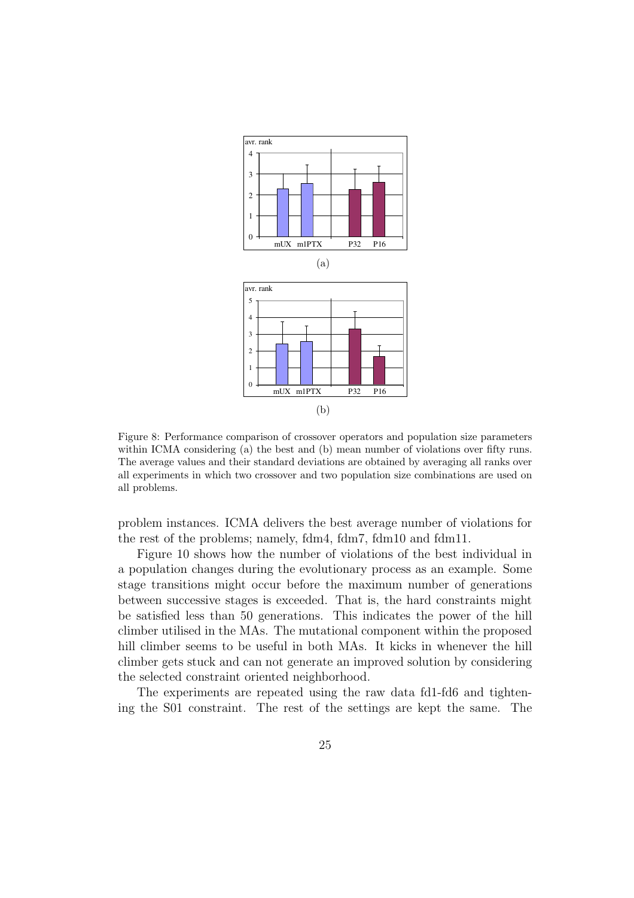

Figure 8: Performance comparison of crossover operators and population size parameters within ICMA considering (a) the best and (b) mean number of violations over fifty runs. The average values and their standard deviations are obtained by averaging all ranks over all experiments in which two crossover and two population size combinations are used on all problems.

problem instances. ICMA delivers the best average number of violations for the rest of the problems; namely, fdm4, fdm7, fdm10 and fdm11.

Figure 10 shows how the number of violations of the best individual in a population changes during the evolutionary process as an example. Some stage transitions might occur before the maximum number of generations between successive stages is exceeded. That is, the hard constraints might be satisfied less than 50 generations. This indicates the power of the hill climber utilised in the MAs. The mutational component within the proposed hill climber seems to be useful in both MAs. It kicks in whenever the hill climber gets stuck and can not generate an improved solution by considering the selected constraint oriented neighborhood.

The experiments are repeated using the raw data fd1-fd6 and tightening the S01 constraint. The rest of the settings are kept the same. The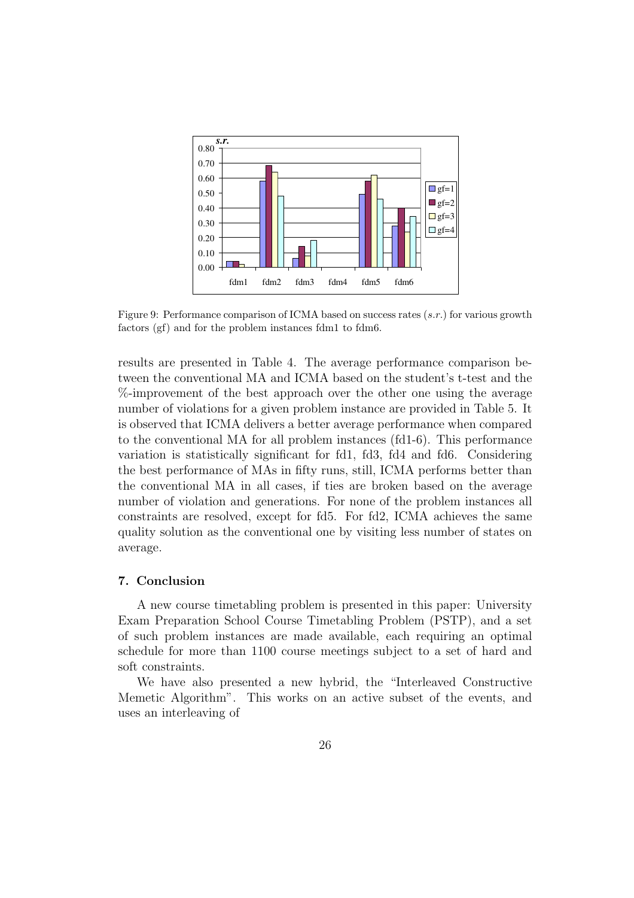

Figure 9: Performance comparison of ICMA based on success rates  $(s.r.)$  for various growth factors (gf) and for the problem instances fdm1 to fdm6.

results are presented in Table 4. The average performance comparison between the conventional MA and ICMA based on the student's t-test and the %-improvement of the best approach over the other one using the average number of violations for a given problem instance are provided in Table 5. It is observed that ICMA delivers a better average performance when compared to the conventional MA for all problem instances (fd1-6). This performance variation is statistically significant for fd1, fd3, fd4 and fd6. Considering the best performance of MAs in fifty runs, still, ICMA performs better than the conventional MA in all cases, if ties are broken based on the average number of violation and generations. For none of the problem instances all constraints are resolved, except for fd5. For fd2, ICMA achieves the same quality solution as the conventional one by visiting less number of states on average.

# 7. Conclusion

A new course timetabling problem is presented in this paper: University Exam Preparation School Course Timetabling Problem (PSTP), and a set of such problem instances are made available, each requiring an optimal schedule for more than 1100 course meetings subject to a set of hard and soft constraints.

We have also presented a new hybrid, the "Interleaved Constructive Memetic Algorithm". This works on an active subset of the events, and uses an interleaving of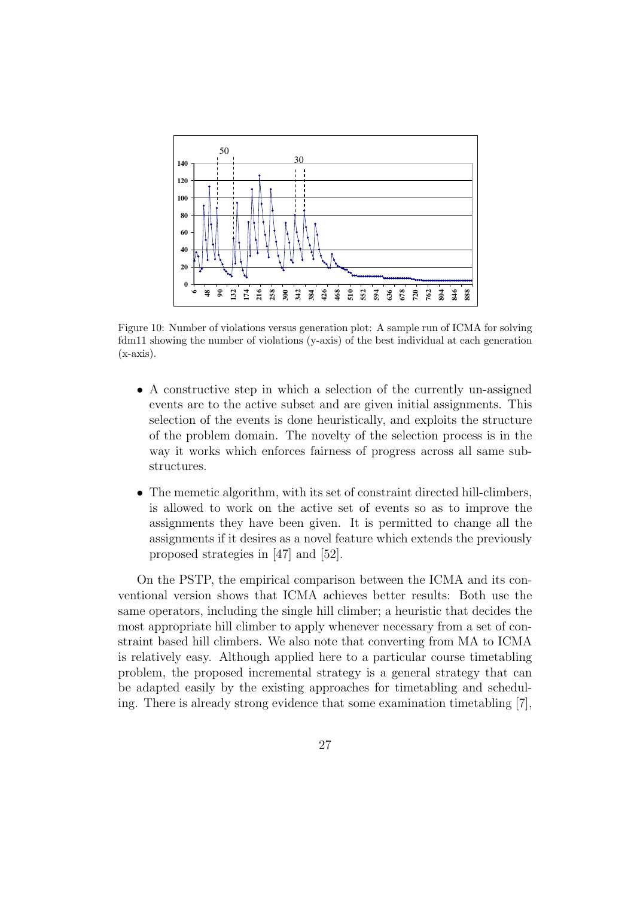

Figure 10: Number of violations versus generation plot: A sample run of ICMA for solving fdm11 showing the number of violations (y-axis) of the best individual at each generation  $(x-axis)$ .

- A constructive step in which a selection of the currently un-assigned events are to the active subset and are given initial assignments. This selection of the events is done heuristically, and exploits the structure of the problem domain. The novelty of the selection process is in the way it works which enforces fairness of progress across all same substructures.
- The memetic algorithm, with its set of constraint directed hill-climbers, is allowed to work on the active set of events so as to improve the assignments they have been given. It is permitted to change all the assignments if it desires as a novel feature which extends the previously proposed strategies in [47] and [52].

On the PSTP, the empirical comparison between the ICMA and its conventional version shows that ICMA achieves better results: Both use the same operators, including the single hill climber; a heuristic that decides the most appropriate hill climber to apply whenever necessary from a set of constraint based hill climbers. We also note that converting from MA to ICMA is relatively easy. Although applied here to a particular course timetabling problem, the proposed incremental strategy is a general strategy that can be adapted easily by the existing approaches for timetabling and scheduling. There is already strong evidence that some examination timetabling [7],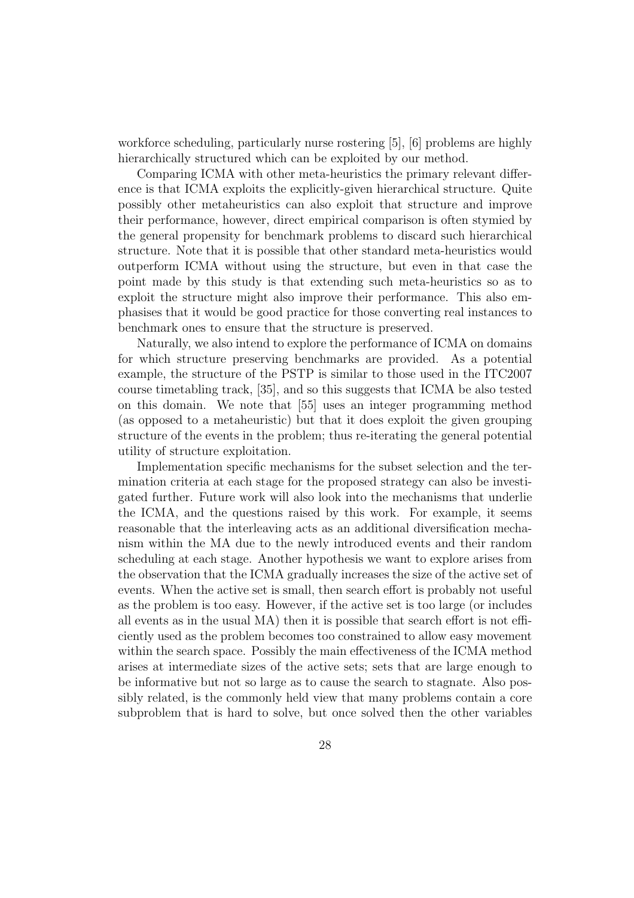workforce scheduling, particularly nurse rostering [5], [6] problems are highly hierarchically structured which can be exploited by our method.

Comparing ICMA with other meta-heuristics the primary relevant difference is that ICMA exploits the explicitly-given hierarchical structure. Quite possibly other metaheuristics can also exploit that structure and improve their performance, however, direct empirical comparison is often stymied by the general propensity for benchmark problems to discard such hierarchical structure. Note that it is possible that other standard meta-heuristics would outperform ICMA without using the structure, but even in that case the point made by this study is that extending such meta-heuristics so as to exploit the structure might also improve their performance. This also emphasises that it would be good practice for those converting real instances to benchmark ones to ensure that the structure is preserved.

Naturally, we also intend to explore the performance of ICMA on domains for which structure preserving benchmarks are provided. As a potential example, the structure of the PSTP is similar to those used in the ITC2007 course timetabling track, [35], and so this suggests that ICMA be also tested on this domain. We note that [55] uses an integer programming method (as opposed to a metaheuristic) but that it does exploit the given grouping structure of the events in the problem; thus re-iterating the general potential utility of structure exploitation.

Implementation specific mechanisms for the subset selection and the termination criteria at each stage for the proposed strategy can also be investigated further. Future work will also look into the mechanisms that underlie the ICMA, and the questions raised by this work. For example, it seems reasonable that the interleaving acts as an additional diversification mechanism within the MA due to the newly introduced events and their random scheduling at each stage. Another hypothesis we want to explore arises from the observation that the ICMA gradually increases the size of the active set of events. When the active set is small, then search effort is probably not useful as the problem is too easy. However, if the active set is too large (or includes all events as in the usual MA) then it is possible that search effort is not efficiently used as the problem becomes too constrained to allow easy movement within the search space. Possibly the main effectiveness of the ICMA method arises at intermediate sizes of the active sets; sets that are large enough to be informative but not so large as to cause the search to stagnate. Also possibly related, is the commonly held view that many problems contain a core subproblem that is hard to solve, but once solved then the other variables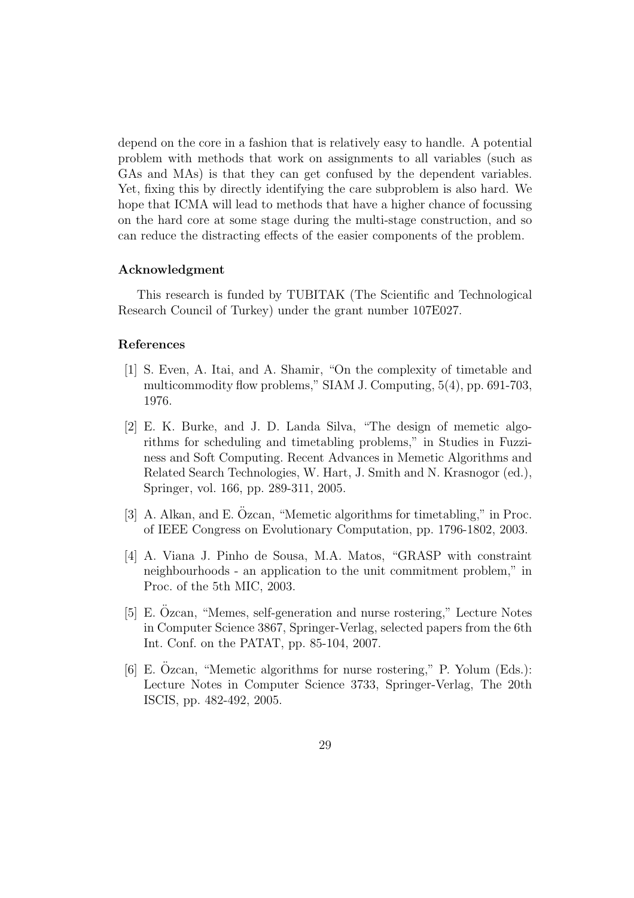depend on the core in a fashion that is relatively easy to handle. A potential problem with methods that work on assignments to all variables (such as GAs and MAs) is that they can get confused by the dependent variables. Yet, fixing this by directly identifying the care subproblem is also hard. We hope that ICMA will lead to methods that have a higher chance of focussing on the hard core at some stage during the multi-stage construction, and so can reduce the distracting effects of the easier components of the problem.

## Acknowledgment

This research is funded by TUBITAK (The Scientific and Technological Research Council of Turkey) under the grant number 107E027.

# References

- [1] S. Even, A. Itai, and A. Shamir, "On the complexity of timetable and multicommodity flow problems," SIAM J. Computing, 5(4), pp. 691-703, 1976.
- [2] E. K. Burke, and J. D. Landa Silva, "The design of memetic algorithms for scheduling and timetabling problems," in Studies in Fuzziness and Soft Computing. Recent Advances in Memetic Algorithms and Related Search Technologies, W. Hart, J. Smith and N. Krasnogor (ed.), Springer, vol. 166, pp. 289-311, 2005.
- [3] A. Alkan, and E. Özcan, "Memetic algorithms for timetabling," in Proc. of IEEE Congress on Evolutionary Computation, pp. 1796-1802, 2003.
- [4] A. Viana J. Pinho de Sousa, M.A. Matos, "GRASP with constraint neighbourhoods - an application to the unit commitment problem," in Proc. of the 5th MIC, 2003.
- [5] E. Ozcan, "Memes, self-generation and nurse rostering," Lecture Notes in Computer Science 3867, Springer-Verlag, selected papers from the 6th Int. Conf. on the PATAT, pp. 85-104, 2007.
- [6] E. Özcan, "Memetic algorithms for nurse rostering," P. Yolum (Eds.): Lecture Notes in Computer Science 3733, Springer-Verlag, The 20th ISCIS, pp. 482-492, 2005.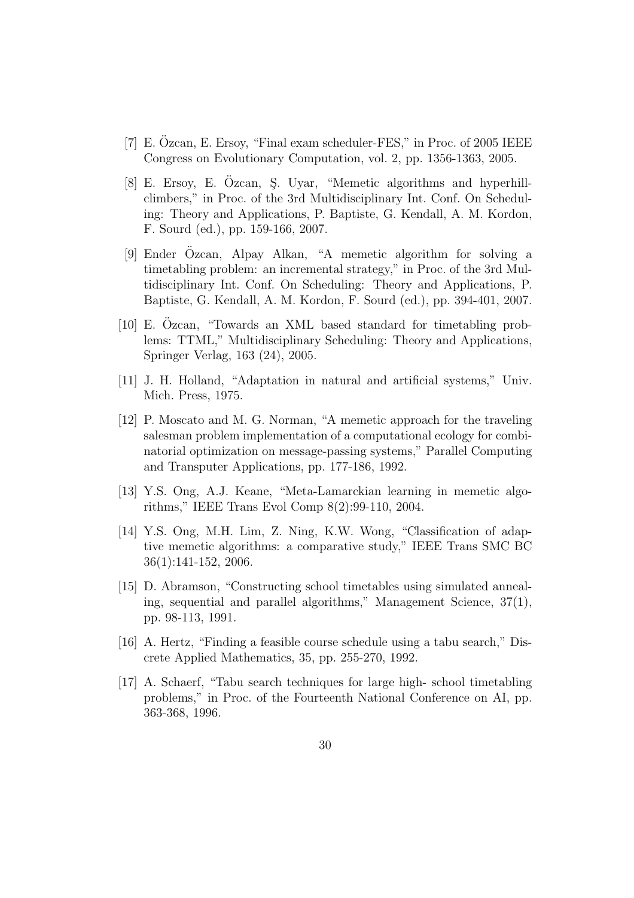- [7] E. Ozcan, E. Ersoy, "Final exam scheduler-FES," in Proc. of  $2005$  IEEE Congress on Evolutionary Computation, vol. 2, pp. 1356-1363, 2005.
- [8] E. Ersoy, E. Ozcan, S. Uyar, "Memetic algorithms and hyperhillclimbers," in Proc. of the 3rd Multidisciplinary Int. Conf. On Scheduling: Theory and Applications, P. Baptiste, G. Kendall, A. M. Kordon, F. Sourd (ed.), pp. 159-166, 2007.
- [9] Ender Ozcan, Alpay Alkan, "A memetic algorithm for solving a timetabling problem: an incremental strategy," in Proc. of the 3rd Multidisciplinary Int. Conf. On Scheduling: Theory and Applications, P. Baptiste, G. Kendall, A. M. Kordon, F. Sourd (ed.), pp. 394-401, 2007.
- [10] E. Ozcan, "Towards an XML based standard for timetabling problems: TTML," Multidisciplinary Scheduling: Theory and Applications, Springer Verlag, 163 (24), 2005.
- [11] J. H. Holland, "Adaptation in natural and artificial systems," Univ. Mich. Press, 1975.
- [12] P. Moscato and M. G. Norman, "A memetic approach for the traveling salesman problem implementation of a computational ecology for combinatorial optimization on message-passing systems," Parallel Computing and Transputer Applications, pp. 177-186, 1992.
- [13] Y.S. Ong, A.J. Keane, "Meta-Lamarckian learning in memetic algorithms," IEEE Trans Evol Comp 8(2):99-110, 2004.
- [14] Y.S. Ong, M.H. Lim, Z. Ning, K.W. Wong, "Classification of adaptive memetic algorithms: a comparative study," IEEE Trans SMC BC 36(1):141-152, 2006.
- [15] D. Abramson, "Constructing school timetables using simulated annealing, sequential and parallel algorithms," Management Science, 37(1), pp. 98-113, 1991.
- [16] A. Hertz, "Finding a feasible course schedule using a tabu search," Discrete Applied Mathematics, 35, pp. 255-270, 1992.
- [17] A. Schaerf, "Tabu search techniques for large high- school timetabling problems," in Proc. of the Fourteenth National Conference on AI, pp. 363-368, 1996.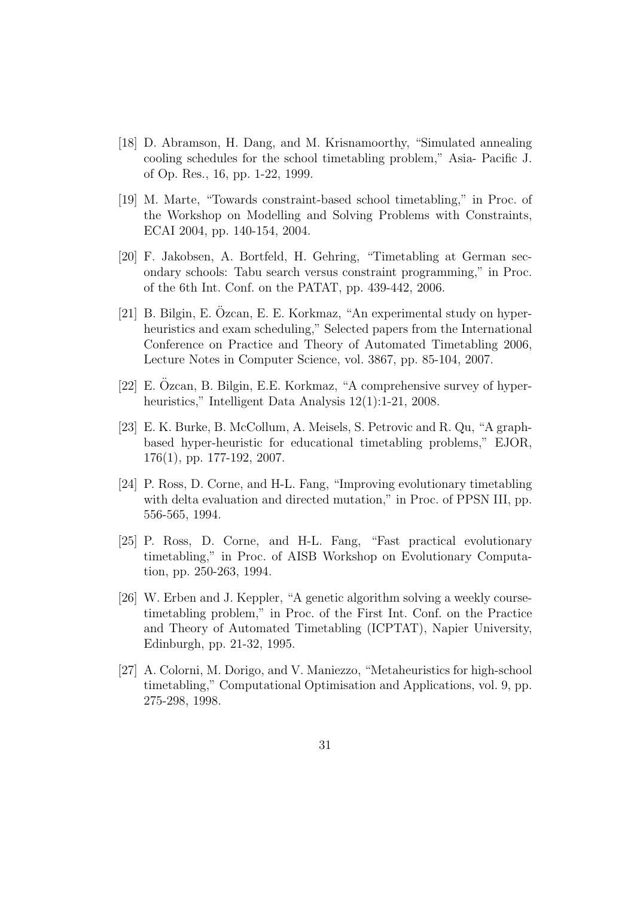- [18] D. Abramson, H. Dang, and M. Krisnamoorthy, "Simulated annealing cooling schedules for the school timetabling problem," Asia- Pacific J. of Op. Res., 16, pp. 1-22, 1999.
- [19] M. Marte, "Towards constraint-based school timetabling," in Proc. of the Workshop on Modelling and Solving Problems with Constraints, ECAI 2004, pp. 140-154, 2004.
- [20] F. Jakobsen, A. Bortfeld, H. Gehring, "Timetabling at German secondary schools: Tabu search versus constraint programming," in Proc. of the 6th Int. Conf. on the PATAT, pp. 439-442, 2006.
- [21] B. Bilgin, E. Özcan, E. E. Korkmaz, "An experimental study on hyperheuristics and exam scheduling," Selected papers from the International Conference on Practice and Theory of Automated Timetabling 2006, Lecture Notes in Computer Science, vol. 3867, pp. 85-104, 2007.
- $[22]$  E. Ozcan, B. Bilgin, E.E. Korkmaz, "A comprehensive survey of hyperheuristics," Intelligent Data Analysis 12(1):1-21, 2008.
- [23] E. K. Burke, B. McCollum, A. Meisels, S. Petrovic and R. Qu, "A graphbased hyper-heuristic for educational timetabling problems," EJOR, 176(1), pp. 177-192, 2007.
- [24] P. Ross, D. Corne, and H-L. Fang, "Improving evolutionary timetabling with delta evaluation and directed mutation," in Proc. of PPSN III, pp. 556-565, 1994.
- [25] P. Ross, D. Corne, and H-L. Fang, "Fast practical evolutionary timetabling," in Proc. of AISB Workshop on Evolutionary Computation, pp. 250-263, 1994.
- [26] W. Erben and J. Keppler, "A genetic algorithm solving a weekly coursetimetabling problem," in Proc. of the First Int. Conf. on the Practice and Theory of Automated Timetabling (ICPTAT), Napier University, Edinburgh, pp. 21-32, 1995.
- [27] A. Colorni, M. Dorigo, and V. Maniezzo, "Metaheuristics for high-school timetabling," Computational Optimisation and Applications, vol. 9, pp. 275-298, 1998.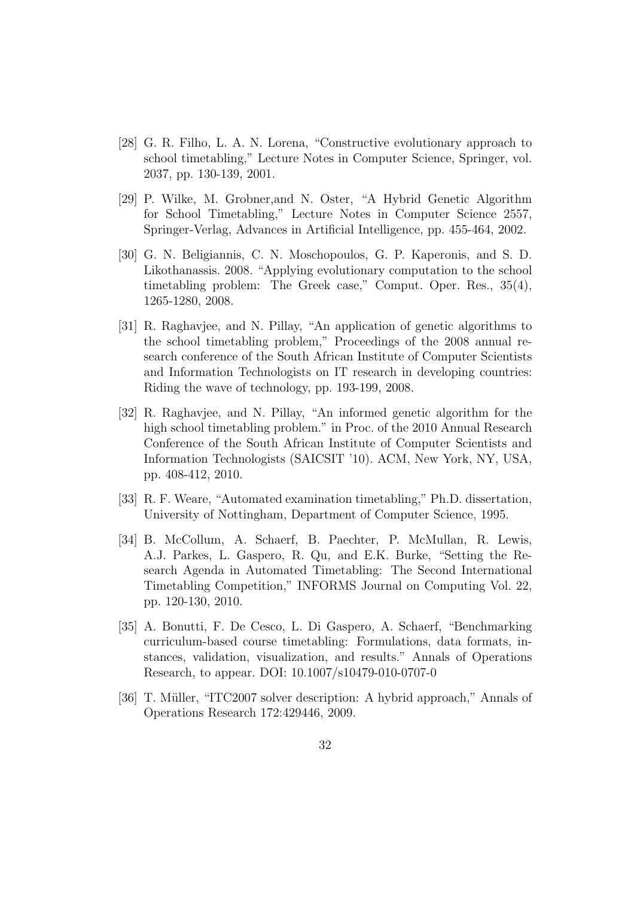- [28] G. R. Filho, L. A. N. Lorena, "Constructive evolutionary approach to school timetabling," Lecture Notes in Computer Science, Springer, vol. 2037, pp. 130-139, 2001.
- [29] P. Wilke, M. Grobner,and N. Oster, "A Hybrid Genetic Algorithm for School Timetabling," Lecture Notes in Computer Science 2557, Springer-Verlag, Advances in Artificial Intelligence, pp. 455-464, 2002.
- [30] G. N. Beligiannis, C. N. Moschopoulos, G. P. Kaperonis, and S. D. Likothanassis. 2008. "Applying evolutionary computation to the school timetabling problem: The Greek case," Comput. Oper. Res., 35(4), 1265-1280, 2008.
- [31] R. Raghavjee, and N. Pillay, "An application of genetic algorithms to the school timetabling problem," Proceedings of the 2008 annual research conference of the South African Institute of Computer Scientists and Information Technologists on IT research in developing countries: Riding the wave of technology, pp. 193-199, 2008.
- [32] R. Raghavjee, and N. Pillay, "An informed genetic algorithm for the high school timetabling problem." in Proc. of the 2010 Annual Research Conference of the South African Institute of Computer Scientists and Information Technologists (SAICSIT '10). ACM, New York, NY, USA, pp. 408-412, 2010.
- [33] R. F. Weare, "Automated examination timetabling," Ph.D. dissertation, University of Nottingham, Department of Computer Science, 1995.
- [34] B. McCollum, A. Schaerf, B. Paechter, P. McMullan, R. Lewis, A.J. Parkes, L. Gaspero, R. Qu, and E.K. Burke, "Setting the Research Agenda in Automated Timetabling: The Second International Timetabling Competition," INFORMS Journal on Computing Vol. 22, pp. 120-130, 2010.
- [35] A. Bonutti, F. De Cesco, L. Di Gaspero, A. Schaerf, "Benchmarking curriculum-based course timetabling: Formulations, data formats, instances, validation, visualization, and results." Annals of Operations Research, to appear. DOI: 10.1007/s10479-010-0707-0
- [36] T. Müller, "ITC2007 solver description: A hybrid approach," Annals of Operations Research 172:429446, 2009.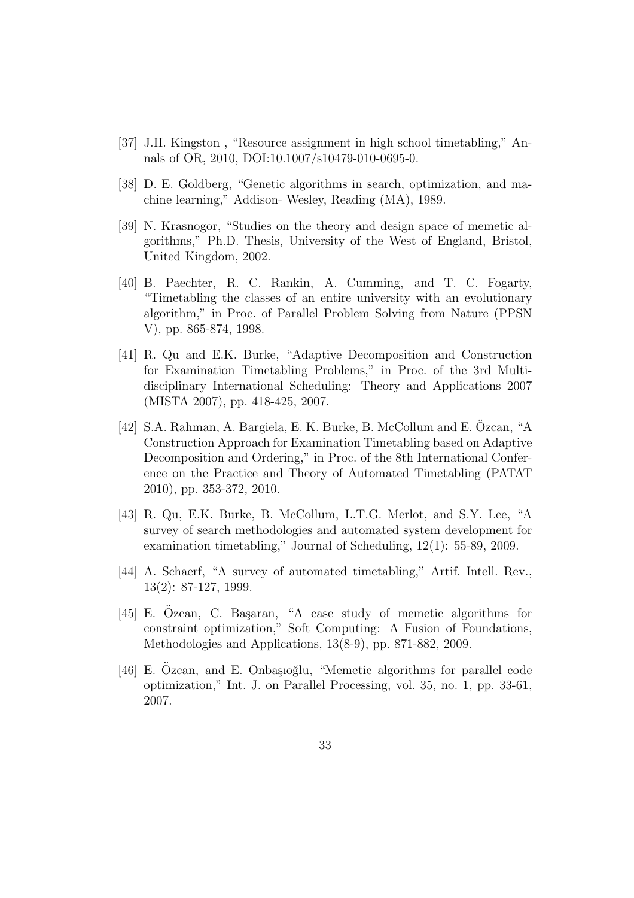- [37] J.H. Kingston , "Resource assignment in high school timetabling," Annals of OR, 2010, DOI:10.1007/s10479-010-0695-0.
- [38] D. E. Goldberg, "Genetic algorithms in search, optimization, and machine learning," Addison- Wesley, Reading (MA), 1989.
- [39] N. Krasnogor, "Studies on the theory and design space of memetic algorithms," Ph.D. Thesis, University of the West of England, Bristol, United Kingdom, 2002.
- [40] B. Paechter, R. C. Rankin, A. Cumming, and T. C. Fogarty, "Timetabling the classes of an entire university with an evolutionary algorithm," in Proc. of Parallel Problem Solving from Nature (PPSN V), pp. 865-874, 1998.
- [41] R. Qu and E.K. Burke, "Adaptive Decomposition and Construction for Examination Timetabling Problems," in Proc. of the 3rd Multidisciplinary International Scheduling: Theory and Applications 2007 (MISTA 2007), pp. 418-425, 2007.
- [42] S.A. Rahman, A. Bargiela, E. K. Burke, B. McCollum and E. Özcan, "A Construction Approach for Examination Timetabling based on Adaptive Decomposition and Ordering," in Proc. of the 8th International Conference on the Practice and Theory of Automated Timetabling (PATAT 2010), pp. 353-372, 2010.
- [43] R. Qu, E.K. Burke, B. McCollum, L.T.G. Merlot, and S.Y. Lee, "A survey of search methodologies and automated system development for examination timetabling," Journal of Scheduling, 12(1): 55-89, 2009.
- [44] A. Schaerf, "A survey of automated timetabling," Artif. Intell. Rev., 13(2): 87-127, 1999.
- [45] E. Ozcan, C. Basaran, "A case study of memetic algorithms for constraint optimization," Soft Computing: A Fusion of Foundations, Methodologies and Applications, 13(8-9), pp. 871-882, 2009.
- [46] E. Ozcan, and E. Onbaşıoğlu, "Memetic algorithms for parallel code optimization," Int. J. on Parallel Processing, vol. 35, no. 1, pp. 33-61, 2007.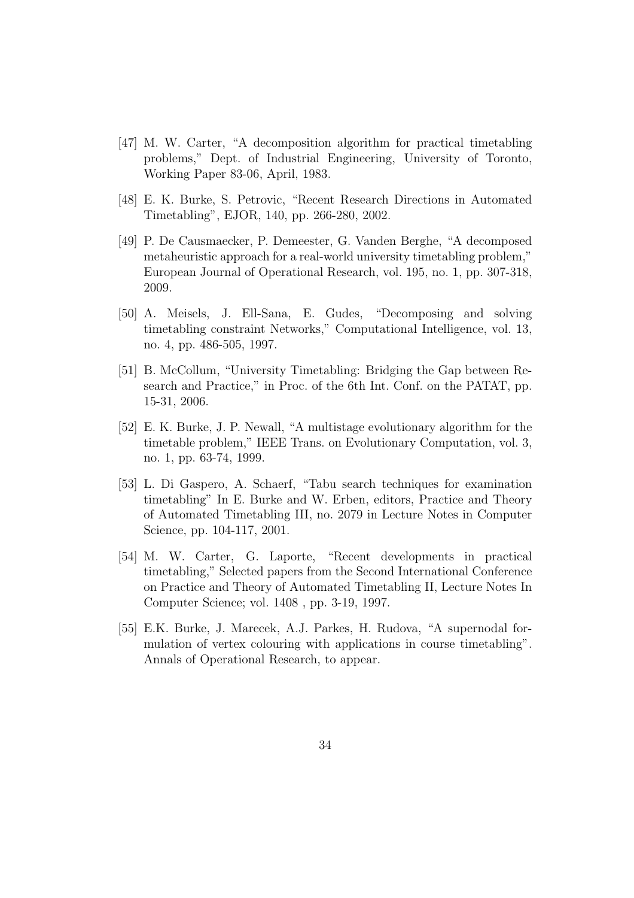- [47] M. W. Carter, "A decomposition algorithm for practical timetabling problems," Dept. of Industrial Engineering, University of Toronto, Working Paper 83-06, April, 1983.
- [48] E. K. Burke, S. Petrovic, "Recent Research Directions in Automated Timetabling", EJOR, 140, pp. 266-280, 2002.
- [49] P. De Causmaecker, P. Demeester, G. Vanden Berghe, "A decomposed metaheuristic approach for a real-world university timetabling problem," European Journal of Operational Research, vol. 195, no. 1, pp. 307-318, 2009.
- [50] A. Meisels, J. Ell-Sana, E. Gudes, "Decomposing and solving timetabling constraint Networks," Computational Intelligence, vol. 13, no. 4, pp. 486-505, 1997.
- [51] B. McCollum, "University Timetabling: Bridging the Gap between Research and Practice," in Proc. of the 6th Int. Conf. on the PATAT, pp. 15-31, 2006.
- [52] E. K. Burke, J. P. Newall, "A multistage evolutionary algorithm for the timetable problem," IEEE Trans. on Evolutionary Computation, vol. 3, no. 1, pp. 63-74, 1999.
- [53] L. Di Gaspero, A. Schaerf, "Tabu search techniques for examination timetabling" In E. Burke and W. Erben, editors, Practice and Theory of Automated Timetabling III, no. 2079 in Lecture Notes in Computer Science, pp. 104-117, 2001.
- [54] M. W. Carter, G. Laporte, "Recent developments in practical timetabling," Selected papers from the Second International Conference on Practice and Theory of Automated Timetabling II, Lecture Notes In Computer Science; vol. 1408 , pp. 3-19, 1997.
- [55] E.K. Burke, J. Marecek, A.J. Parkes, H. Rudova, "A supernodal formulation of vertex colouring with applications in course timetabling". Annals of Operational Research, to appear.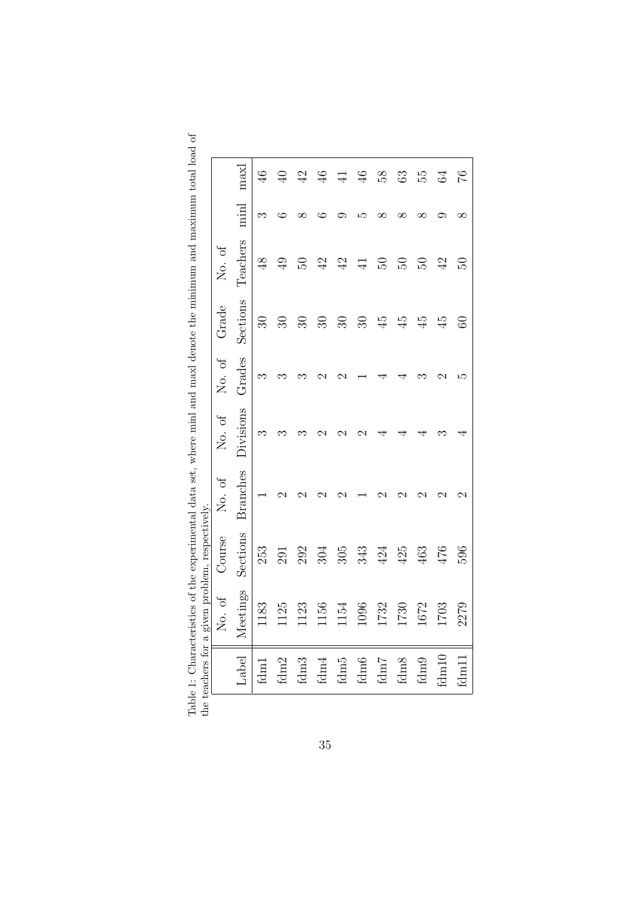|                                                                                                                                                                                                          | lo. of<br>$\mathsf{K}$               | Course                               | No. of                | No. of                 | No. of | Grade                                  | No. of         |          |                              |
|----------------------------------------------------------------------------------------------------------------------------------------------------------------------------------------------------------|--------------------------------------|--------------------------------------|-----------------------|------------------------|--------|----------------------------------------|----------------|----------|------------------------------|
| Label                                                                                                                                                                                                    | setings<br>$\mathbb{N}^{\mathsf{e}}$ | Sections                             | <b>Branches</b>       | Divisions              | Grades | Sections                               | Teachers       | minl     | max                          |
|                                                                                                                                                                                                          | 183                                  | 253                                  |                       | ಌ                      | ಌ      | $\Im$                                  | 48             | ಌ        | 46                           |
| $\begin{tabular}{l} \hline {\rm{fdm1}}\\ \hline \ {\rm{fdm2}}\\ \hline \ {\rm{fdm3}}\\ \hline \ {\rm{fdm5}}\\ \hline \ {\rm{fdm5}}\\ \hline \ {\rm{fdm6}}\\ \hline \ {\rm{fdm6}}\\ \hline \end{tabular}$ | 125                                  | 291                                  |                       | ಌ                      |        | $\mathcal{S}$                          | 49             | ు        | 40                           |
|                                                                                                                                                                                                          | 123                                  |                                      |                       | ಌ                      |        | $30\,$                                 | $50^{\circ}$   | $\infty$ | 42                           |
|                                                                                                                                                                                                          | 156                                  |                                      |                       |                        |        | $\Omega$                               | 42             | ం        | $46\,$                       |
|                                                                                                                                                                                                          | 154                                  | 292<br>304<br>305<br>34<br>34<br>424 |                       | $\mathcal{C}$          |        |                                        |                |          | $\frac{4}{9}$ \$ \$ \$ \$ \$ |
|                                                                                                                                                                                                          | $096\,$                              |                                      |                       | $\mathbf{\mathcal{C}}$ |        | $\begin{matrix} 30 \\ 30 \end{matrix}$ | $42$<br>$41$   | w        |                              |
|                                                                                                                                                                                                          | 732                                  |                                      |                       |                        |        | $\ddot{4}$                             | $50^{\circ}$   | ∞        |                              |
|                                                                                                                                                                                                          | 730                                  | $425$                                | $\mathbf{\mathsf{c}}$ |                        |        | $\ddot{P}$                             | 30<br>50       | $\infty$ |                              |
|                                                                                                                                                                                                          | 672                                  |                                      | $\mathfrak{g}$        |                        |        | 45                                     |                | $\infty$ | 15<br>15<br>15               |
| $fdm10$                                                                                                                                                                                                  | 703                                  | $\frac{463}{476}$                    |                       |                        |        | $\frac{45}{5}$                         | $rac{1}{4}$ 50 |          |                              |
| ${\rm fdm}11$                                                                                                                                                                                            | 279                                  |                                      | $\mathfrak{a}$        |                        | rc     | 60                                     |                | $\infty$ | $\frac{6}{1}$                |

Table 1: Characteristics of the experimental data set, where minl and maxl denote the minimum and maximum total load of the teachers for a given problem, respectively. Table 1: Characteristics of the experimental data set, where minl and maxl denote the minimum and maximum total load of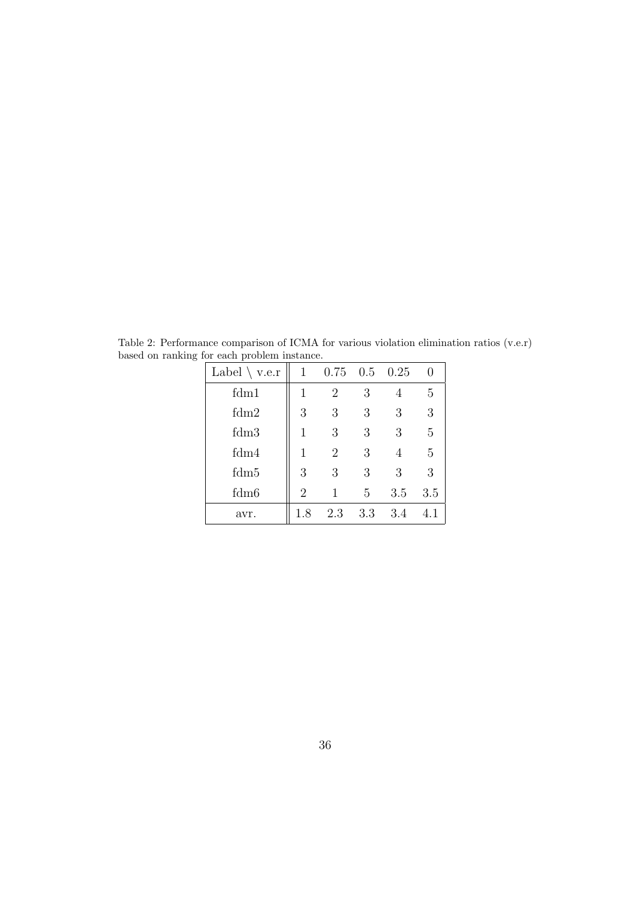| Label $\setminus$ v.e.r | 1                           |                             |     | $0.75$ $0.5$ $0.25$ |     |
|-------------------------|-----------------------------|-----------------------------|-----|---------------------|-----|
| fdm1                    | 1                           | 2                           | 3   | 4                   | 5   |
| fdm2                    | 3                           | 3                           | 3   | 3                   | 3   |
| fdm3                    | 1                           | 3                           | 3   | 3                   | 5   |
| fdm4                    | 1                           | $\mathcal{D}_{\mathcal{L}}$ | 3   | 4                   | 5   |
| fdm5                    | 3                           | 3                           | 3   | 3                   | 3   |
| fdm6                    | $\mathcal{D}_{\mathcal{L}}$ | 1                           | 5   | 3.5                 | 3.5 |
| avr.                    | 1.8                         | 2.3                         | 3.3 | 3.4                 |     |

Table 2: Performance comparison of ICMA for various violation elimination ratios (v.e.r) based on ranking for each problem instance.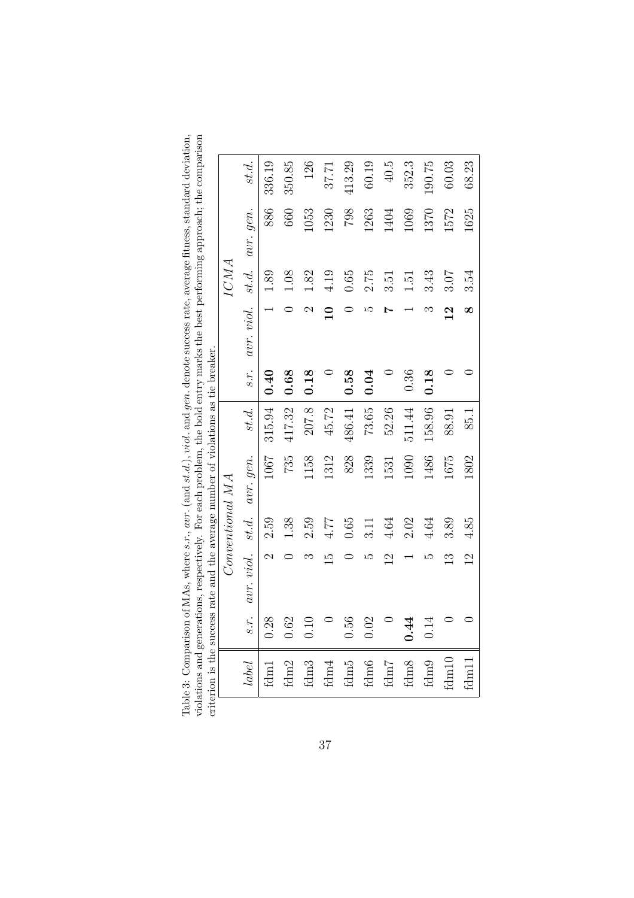|                               |                                          |                        |      | Conventional MA |        |      |                 | ICMA  |           |        |
|-------------------------------|------------------------------------------|------------------------|------|-----------------|--------|------|-----------------|-------|-----------|--------|
| $label \label{eq:label}$      | s.r.                                     | $avr.$ $viol.$ $st.d.$ |      | $avr.$ $gen.$   | st.d.  | s.r. | $avr.$ $viol.$  | st.d. | avr. gen. | st.d.  |
| $\ensuremath{\text{fdm1}}$    | 0.28                                     |                        | 2.59 | 1067            | 315.94 | 0.40 |                 | 1.89  | 886       | 336.19 |
| ${\rm fdm2}$                  | $\tilde{\mathbf{z}}$<br>$\frac{6}{1}$    |                        | 1.38 | 735             | 417.32 | 0.68 |                 | 1.08  | 660       | 350.85 |
| ${\rm fdm3}$                  | $\overline{C}$                           |                        | 2.59 | 1158            | 207.8  | 0.18 | 2               | 1.82  | 1053      | 126    |
| fd $m4$                       |                                          | $\overline{5}$         | 4.77 | 1312            | 45.72  |      | $\overline{10}$ | 4.19  | 1230      | 37.71  |
| fdm<br>5 $\,$                 | 0.56                                     |                        | 0.65 | 828             | 486.41 | 0.58 | $\circ$         | 0.65  | 798       | 413.29 |
| fdm $6$                       | $\tilde{\mathbf{z}}$<br>$\sum_{i=1}^{n}$ | ഥ                      | 3.11 | 1339            | 73.65  | 0.04 | ນດ              | 2.75  | 1263      | 60.19  |
| $\rm fdm7$                    |                                          | $\overline{2}$         | 4.64 | 1531            | 52.26  |      |                 | 3.51  | 1404      | $40.5$ |
| $fdm8$                        | 4<br>0.4                                 |                        | 2.02 | 1090            | 511.44 | 0.36 |                 | 1.51  | 1069      | 352.3  |
| fd $m9$                       | 4<br>$\ddot{\circ}$                      | ເລ                     | 4.64 | 1486            | 158.96 | 0.18 | ಌ               | 3.43  | 1370      | 190.75 |
| $\ensuremath{\mathrm{fdm10}}$ |                                          | $\mathbb{C}$           | 3.89 | 1675            | 88.91  |      | $\frac{2}{1}$   | 3.07  | 1572      | 60.03  |
| ${\rm fdm}11$                 |                                          | $\overline{2}$         | 4.85 | 1802            | 85.1   |      | $\infty$        | 3.54  | 1625      | 68.23  |

Table 3: Comparison of MAs, where  $s.r., avr.$  (and  $st.d.$ ),  $viol.$  and  $gen.$  denote success rate, average fitness, standard deviation, violations and generations, respectively. For each problem, the bold entry marks the best pe violations and generations, respectively. For each problem, the bold entry marks the best performing approach; the comparison Table 3: Comparison of MAs, where s.r., avr. (and st.d.), viol. and gen. denote success rate, average fitness, standard deviation, cri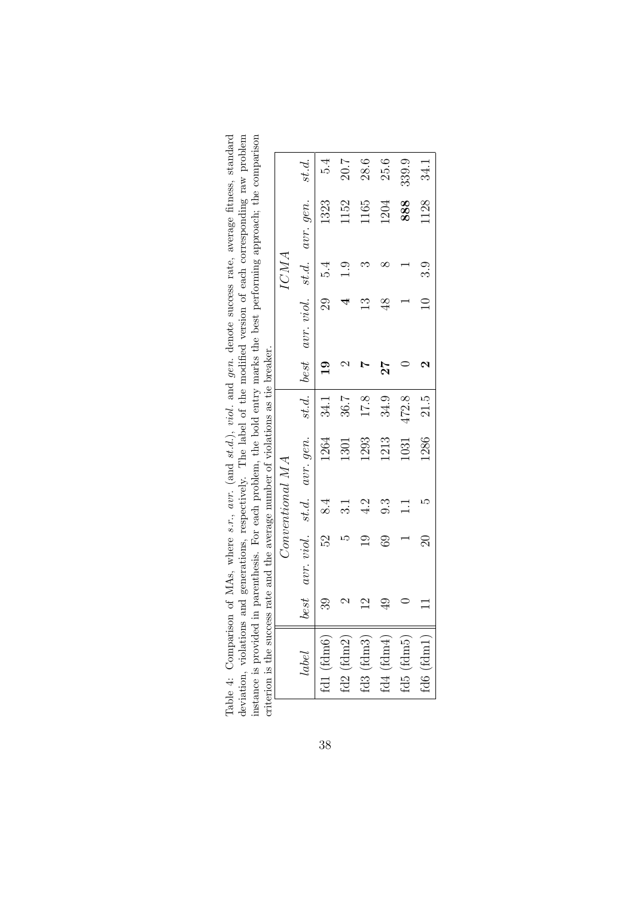| sance is provided in<br>erion is the success |                | parenthesis. For each problem, the bold entry marks the best performing approach; the comparison<br>rate and the average number of violations as tie breaker.<br>$\frac{1}{2}$ |                 |                           |       |               |                      |             | $\begin{bmatrix} 1 \\ 1 \\ 2 \end{bmatrix}$ |       |  |
|----------------------------------------------|----------------|--------------------------------------------------------------------------------------------------------------------------------------------------------------------------------|-----------------|---------------------------|-------|---------------|----------------------|-------------|---------------------------------------------|-------|--|
|                                              |                |                                                                                                                                                                                | Conventional MA |                           |       |               |                      | <b>ICMA</b> |                                             |       |  |
| label                                        | best           |                                                                                                                                                                                |                 | avr. vid. st.d. avr. gen. |       |               |                      |             | st.d. best avr. viol. st.d. avr. gen.       | st.d. |  |
| fddm <sub>6</sub>                            | ೫              | 52                                                                                                                                                                             | 8.4             | 1264                      | 34.1  | $\frac{0}{1}$ | $\overline{6}$       | 54          | 1323                                        | 5.4   |  |
| $fd2$ ( $fdm2$ )                             |                |                                                                                                                                                                                | $\frac{1}{3}$   | 1301                      | 36.7  |               |                      |             | 1152                                        | 20.7  |  |
| $fd3$ $(fdm3)$                               | $\mathfrak{D}$ | $\overline{0}$                                                                                                                                                                 | 4.2             | 1293                      | 17.8  |               |                      |             | 1165                                        | 28.6  |  |
| fdd (fdm4)                                   | QÞ             | 69                                                                                                                                                                             | 9.3             | 1213                      | 34.9  |               | $\frac{8}{3}$        |             | 1204                                        | 25.6  |  |
| $fd5$ $(dm5)$                                |                |                                                                                                                                                                                |                 | 1031                      | 472.8 |               |                      |             | 888                                         | 339.9 |  |
| fd6 (fdm1                                    |                | $\Im$                                                                                                                                                                          |                 | 1286                      | 21.5  |               | $\overline{\square}$ | 3.9         | 1128                                        | 34.1  |  |

Table 4: Comparison of MAs, where  $s.r., \mathit{avr}.$  (and  $st.d., \mathit{viol}.$  and  $\mathit{gen}.$  denote success rate, average fitness, standard deviation, violations and generations, respectively. The label of the modified version of each cor Table 4: Comparison of MAs, where s.r., avr. (and st.d.), viol. and gen. denote success rate, average fitness, standard deviation, violations and generations, respectively. The label of the modified version of each corresponding raw problem instance is provided in parenthesis. For each problem, the bold entry marks the best performing approach; the comparison criterion is the success rate and the average number of violations as tie breaker. insta<br>crite